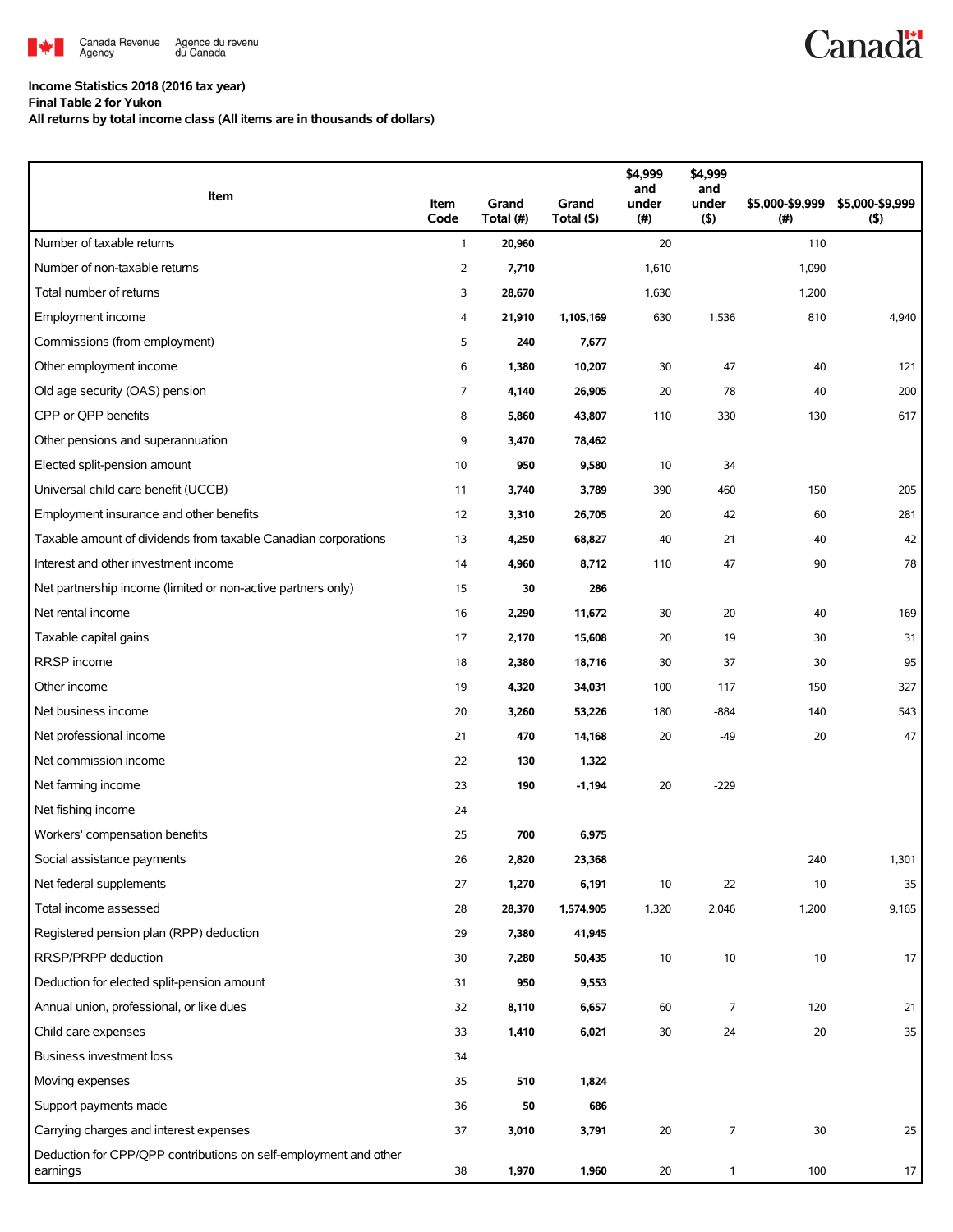

## **Income Statistics 2018 (2016 tax year)**

**Final Table 2 for Yukon**

**All returns by total income class (All items are in thousands of dollars)**

| Item                                                                         | Item<br>Code | Grand<br>Total (#) | Grand<br>Total (\$) | \$4,999<br>and<br>under<br>(#) | \$4,999<br>and<br>under<br>$($ \$) | \$5,000-\$9,999<br>(#) | \$5,000-\$9,999<br>(5) |
|------------------------------------------------------------------------------|--------------|--------------------|---------------------|--------------------------------|------------------------------------|------------------------|------------------------|
| Number of taxable returns                                                    | $\mathbf{1}$ | 20,960             |                     | 20                             |                                    | 110                    |                        |
| Number of non-taxable returns                                                | 2            | 7,710              |                     | 1,610                          |                                    | 1,090                  |                        |
| Total number of returns                                                      | 3            | 28,670             |                     | 1,630                          |                                    | 1,200                  |                        |
| Employment income                                                            | 4            | 21,910             | 1,105,169           | 630                            | 1,536                              | 810                    | 4,940                  |
| Commissions (from employment)                                                | 5            | 240                | 7,677               |                                |                                    |                        |                        |
| Other employment income                                                      | 6            | 1,380              | 10,207              | 30                             | 47                                 | 40                     | 121                    |
| Old age security (OAS) pension                                               | 7            | 4,140              | 26,905              | 20                             | 78                                 | 40                     | 200                    |
| CPP or QPP benefits                                                          | 8            | 5,860              | 43,807              | 110                            | 330                                | 130                    | 617                    |
| Other pensions and superannuation                                            | 9            | 3,470              | 78,462              |                                |                                    |                        |                        |
| Elected split-pension amount                                                 | 10           | 950                | 9,580               | 10                             | 34                                 |                        |                        |
| Universal child care benefit (UCCB)                                          | 11           | 3,740              | 3,789               | 390                            | 460                                | 150                    | 205                    |
| Employment insurance and other benefits                                      | 12           | 3,310              | 26,705              | 20                             | 42                                 | 60                     | 281                    |
| Taxable amount of dividends from taxable Canadian corporations               | 13           | 4,250              | 68,827              | 40                             | 21                                 | 40                     | 42                     |
| Interest and other investment income                                         | 14           | 4,960              | 8,712               | 110                            | 47                                 | 90                     | 78                     |
| Net partnership income (limited or non-active partners only)                 | 15           | 30                 | 286                 |                                |                                    |                        |                        |
| Net rental income                                                            | 16           | 2,290              | 11,672              | 30                             | $-20$                              | 40                     | 169                    |
| Taxable capital gains                                                        | 17           | 2,170              | 15,608              | 20                             | 19                                 | 30                     | 31                     |
| RRSP income                                                                  | 18           | 2,380              | 18,716              | 30                             | 37                                 | 30                     | 95                     |
| Other income                                                                 | 19           | 4,320              | 34,031              | 100                            | 117                                | 150                    | 327                    |
| Net business income                                                          | 20           | 3,260              | 53,226              | 180                            | $-884$                             | 140                    | 543                    |
| Net professional income                                                      | 21           | 470                | 14,168              | 20                             | $-49$                              | 20                     | 47                     |
| Net commission income                                                        | 22           | 130                | 1,322               |                                |                                    |                        |                        |
| Net farming income                                                           | 23           | 190                | $-1,194$            | 20                             | $-229$                             |                        |                        |
| Net fishing income                                                           | 24           |                    |                     |                                |                                    |                        |                        |
| Workers' compensation benefits                                               | 25           | 700                | 6,975               |                                |                                    |                        |                        |
| Social assistance payments                                                   | 26           | 2,820              | 23,368              |                                |                                    | 240                    | 1,301                  |
| Net federal supplements                                                      | 27           | 1,270              | 6,191               | 10                             | 22                                 | 10                     | 35                     |
| Total income assessed                                                        | 28           | 28,370             | 1,574,905           | 1,320                          | 2,046                              | 1,200                  | 9,165                  |
| Registered pension plan (RPP) deduction                                      | 29           | 7,380              | 41,945              |                                |                                    |                        |                        |
| RRSP/PRPP deduction                                                          | 30           | 7,280              | 50,435              | $10$                           | $10$                               | 10                     | 17                     |
| Deduction for elected split-pension amount                                   | 31           | 950                | 9,553               |                                |                                    |                        |                        |
| Annual union, professional, or like dues                                     | 32           | 8,110              | 6,657               | 60                             | 7                                  | 120                    | 21                     |
| Child care expenses                                                          | 33           | 1,410              | 6,021               | $30\,$                         | 24                                 | 20                     | 35                     |
| <b>Business investment loss</b>                                              | 34           |                    |                     |                                |                                    |                        |                        |
| Moving expenses                                                              | 35           | 510                | 1,824               |                                |                                    |                        |                        |
| Support payments made                                                        | 36           | 50                 | 686                 |                                |                                    |                        |                        |
| Carrying charges and interest expenses                                       | 37           | 3,010              | 3,791               | 20                             | 7                                  | 30                     | 25                     |
| Deduction for CPP/QPP contributions on self-employment and other<br>earnings | 38           | 1,970              | 1,960               | 20                             | $\mathbf{1}$                       | 100                    | 17                     |

**Canadä**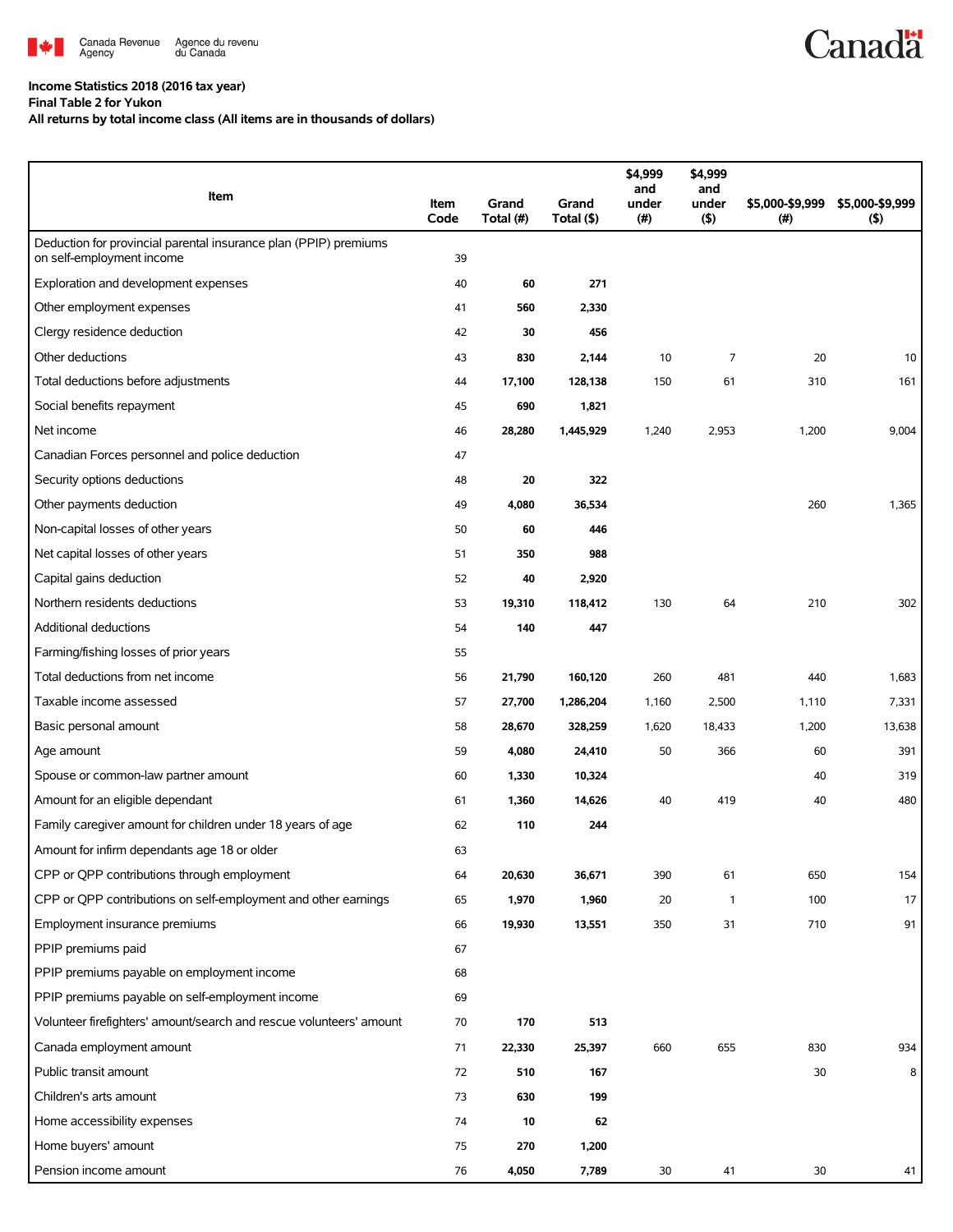

## **Income Statistics 2018 (2016 tax year)**

**Final Table 2 for Yukon**

**All returns by total income class (All items are in thousands of dollars)**

| Item                                                                                          | Item<br>Code | Grand<br>Total (#) | Grand<br>Total (\$) | \$4,999<br>and<br>under<br>(# ) | \$4,999<br>and<br>under<br>(5) | \$5,000-\$9,999<br>(# ) | \$5,000-\$9,999<br>(5) |
|-----------------------------------------------------------------------------------------------|--------------|--------------------|---------------------|---------------------------------|--------------------------------|-------------------------|------------------------|
| Deduction for provincial parental insurance plan (PPIP) premiums<br>on self-employment income | 39           |                    |                     |                                 |                                |                         |                        |
| Exploration and development expenses                                                          | 40           | 60                 | 271                 |                                 |                                |                         |                        |
| Other employment expenses                                                                     | 41           | 560                | 2,330               |                                 |                                |                         |                        |
| Clergy residence deduction                                                                    | 42           | 30                 | 456                 |                                 |                                |                         |                        |
| Other deductions                                                                              | 43           | 830                | 2,144               | 10                              | 7                              | 20                      | 10                     |
| Total deductions before adjustments                                                           | 44           | 17,100             | 128,138             | 150                             | 61                             | 310                     | 161                    |
| Social benefits repayment                                                                     | 45           | 690                | 1,821               |                                 |                                |                         |                        |
| Net income                                                                                    | 46           | 28,280             | 1,445,929           | 1,240                           | 2,953                          | 1,200                   | 9,004                  |
| Canadian Forces personnel and police deduction                                                | 47           |                    |                     |                                 |                                |                         |                        |
| Security options deductions                                                                   | 48           | 20                 | 322                 |                                 |                                |                         |                        |
| Other payments deduction                                                                      | 49           | 4,080              | 36,534              |                                 |                                | 260                     | 1,365                  |
| Non-capital losses of other years                                                             | 50           | 60                 | 446                 |                                 |                                |                         |                        |
| Net capital losses of other years                                                             | 51           | 350                | 988                 |                                 |                                |                         |                        |
| Capital gains deduction                                                                       | 52           | 40                 | 2,920               |                                 |                                |                         |                        |
| Northern residents deductions                                                                 | 53           | 19,310             | 118,412             | 130                             | 64                             | 210                     | 302                    |
| Additional deductions                                                                         | 54           | 140                | 447                 |                                 |                                |                         |                        |
| Farming/fishing losses of prior years                                                         | 55           |                    |                     |                                 |                                |                         |                        |
| Total deductions from net income                                                              | 56           | 21,790             | 160,120             | 260                             | 481                            | 440                     | 1,683                  |
| Taxable income assessed                                                                       | 57           | 27,700             | 1,286,204           | 1,160                           | 2,500                          | 1,110                   | 7,331                  |
| Basic personal amount                                                                         | 58           | 28,670             | 328,259             | 1,620                           | 18,433                         | 1,200                   | 13,638                 |
| Age amount                                                                                    | 59           | 4,080              | 24,410              | 50                              | 366                            | 60                      | 391                    |
| Spouse or common-law partner amount                                                           | 60           | 1,330              | 10,324              |                                 |                                | 40                      | 319                    |
| Amount for an eligible dependant                                                              | 61           | 1,360              | 14,626              | 40                              | 419                            | 40                      | 480                    |
| Family caregiver amount for children under 18 years of age                                    | 62           | 110                | 244                 |                                 |                                |                         |                        |
| Amount for infirm dependants age 18 or older                                                  | 63           |                    |                     |                                 |                                |                         |                        |
| CPP or QPP contributions through employment                                                   | 64           | 20,630             | 36,671              | 390                             | 61                             | 650                     | 154                    |
| CPP or QPP contributions on self-employment and other earnings                                | 65           | 1,970              | 1,960               | 20                              | 1                              | 100                     | 17                     |
| Employment insurance premiums                                                                 | 66           | 19,930             | 13,551              | 350                             | 31                             | 710                     | 91                     |
| PPIP premiums paid                                                                            | 67           |                    |                     |                                 |                                |                         |                        |
| PPIP premiums payable on employment income                                                    | 68           |                    |                     |                                 |                                |                         |                        |
| PPIP premiums payable on self-employment income                                               | 69           |                    |                     |                                 |                                |                         |                        |
| Volunteer firefighters' amount/search and rescue volunteers' amount                           | 70           | 170                | 513                 |                                 |                                |                         |                        |
| Canada employment amount                                                                      | 71           | 22,330             | 25,397              | 660                             | 655                            | 830                     | 934                    |
| Public transit amount                                                                         | 72           | 510                | 167                 |                                 |                                | 30                      | 8                      |
| Children's arts amount                                                                        | 73           | 630                | 199                 |                                 |                                |                         |                        |
| Home accessibility expenses                                                                   | 74           | 10                 | 62                  |                                 |                                |                         |                        |
| Home buyers' amount                                                                           | 75           | 270                | 1,200               |                                 |                                |                         |                        |
| Pension income amount                                                                         | 76           | 4,050              | 7,789               | 30                              | 41                             | 30                      | 41                     |

**Canadä**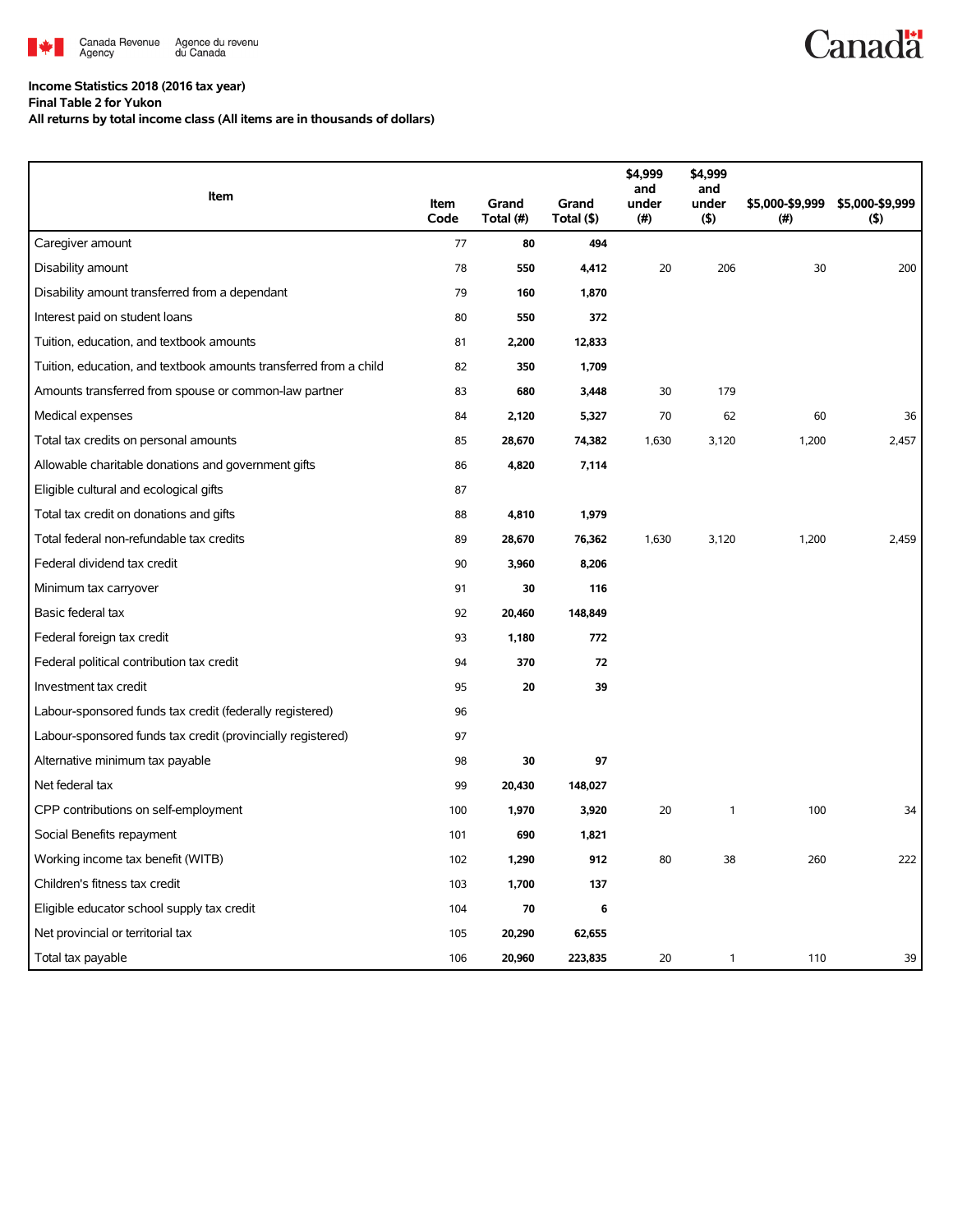

## **Income Statistics 2018 (2016 tax year)**

**Final Table 2 for Yukon**

**All returns by total income class (All items are in thousands of dollars)**

|                                                                   |              |                    |                     | \$4,999<br>and | \$4,999<br>and |                         |                        |
|-------------------------------------------------------------------|--------------|--------------------|---------------------|----------------|----------------|-------------------------|------------------------|
| Item                                                              | Item<br>Code | Grand<br>Total (#) | Grand<br>Total (\$) | under<br>(#)   | under<br>(5)   | \$5,000-\$9,999<br>(# ) | \$5,000-\$9,999<br>(5) |
| Caregiver amount                                                  | 77           | 80                 | 494                 |                |                |                         |                        |
| Disability amount                                                 | 78           | 550                | 4,412               | 20             | 206            | 30                      | 200                    |
| Disability amount transferred from a dependant                    | 79           | 160                | 1,870               |                |                |                         |                        |
| Interest paid on student loans                                    | 80           | 550                | 372                 |                |                |                         |                        |
| Tuition, education, and textbook amounts                          | 81           | 2,200              | 12,833              |                |                |                         |                        |
| Tuition, education, and textbook amounts transferred from a child | 82           | 350                | 1,709               |                |                |                         |                        |
| Amounts transferred from spouse or common-law partner             | 83           | 680                | 3,448               | 30             | 179            |                         |                        |
| Medical expenses                                                  | 84           | 2,120              | 5,327               | 70             | 62             | 60                      | 36                     |
| Total tax credits on personal amounts                             | 85           | 28,670             | 74,382              | 1,630          | 3,120          | 1,200                   | 2,457                  |
| Allowable charitable donations and government gifts               | 86           | 4,820              | 7,114               |                |                |                         |                        |
| Eligible cultural and ecological gifts                            | 87           |                    |                     |                |                |                         |                        |
| Total tax credit on donations and gifts                           | 88           | 4,810              | 1,979               |                |                |                         |                        |
| Total federal non-refundable tax credits                          | 89           | 28,670             | 76,362              | 1,630          | 3,120          | 1,200                   | 2,459                  |
| Federal dividend tax credit                                       | 90           | 3,960              | 8,206               |                |                |                         |                        |
| Minimum tax carryover                                             | 91           | 30                 | 116                 |                |                |                         |                        |
| Basic federal tax                                                 | 92           | 20,460             | 148,849             |                |                |                         |                        |
| Federal foreign tax credit                                        | 93           | 1,180              | 772                 |                |                |                         |                        |
| Federal political contribution tax credit                         | 94           | 370                | 72                  |                |                |                         |                        |
| Investment tax credit                                             | 95           | 20                 | 39                  |                |                |                         |                        |
| Labour-sponsored funds tax credit (federally registered)          | 96           |                    |                     |                |                |                         |                        |
| Labour-sponsored funds tax credit (provincially registered)       | 97           |                    |                     |                |                |                         |                        |
| Alternative minimum tax payable                                   | 98           | 30                 | 97                  |                |                |                         |                        |
| Net federal tax                                                   | 99           | 20,430             | 148,027             |                |                |                         |                        |
| CPP contributions on self-employment                              | 100          | 1,970              | 3,920               | 20             | 1              | 100                     | 34                     |
| Social Benefits repayment                                         | 101          | 690                | 1,821               |                |                |                         |                        |
| Working income tax benefit (WITB)                                 | 102          | 1,290              | 912                 | 80             | 38             | 260                     | 222                    |
| Children's fitness tax credit                                     | 103          | 1,700              | 137                 |                |                |                         |                        |
| Eligible educator school supply tax credit                        | 104          | 70                 | 6                   |                |                |                         |                        |
| Net provincial or territorial tax                                 | 105          | 20,290             | 62,655              |                |                |                         |                        |
| Total tax payable                                                 | 106          | 20,960             | 223,835             | 20             | 1              | 110                     | 39                     |

**Canadä**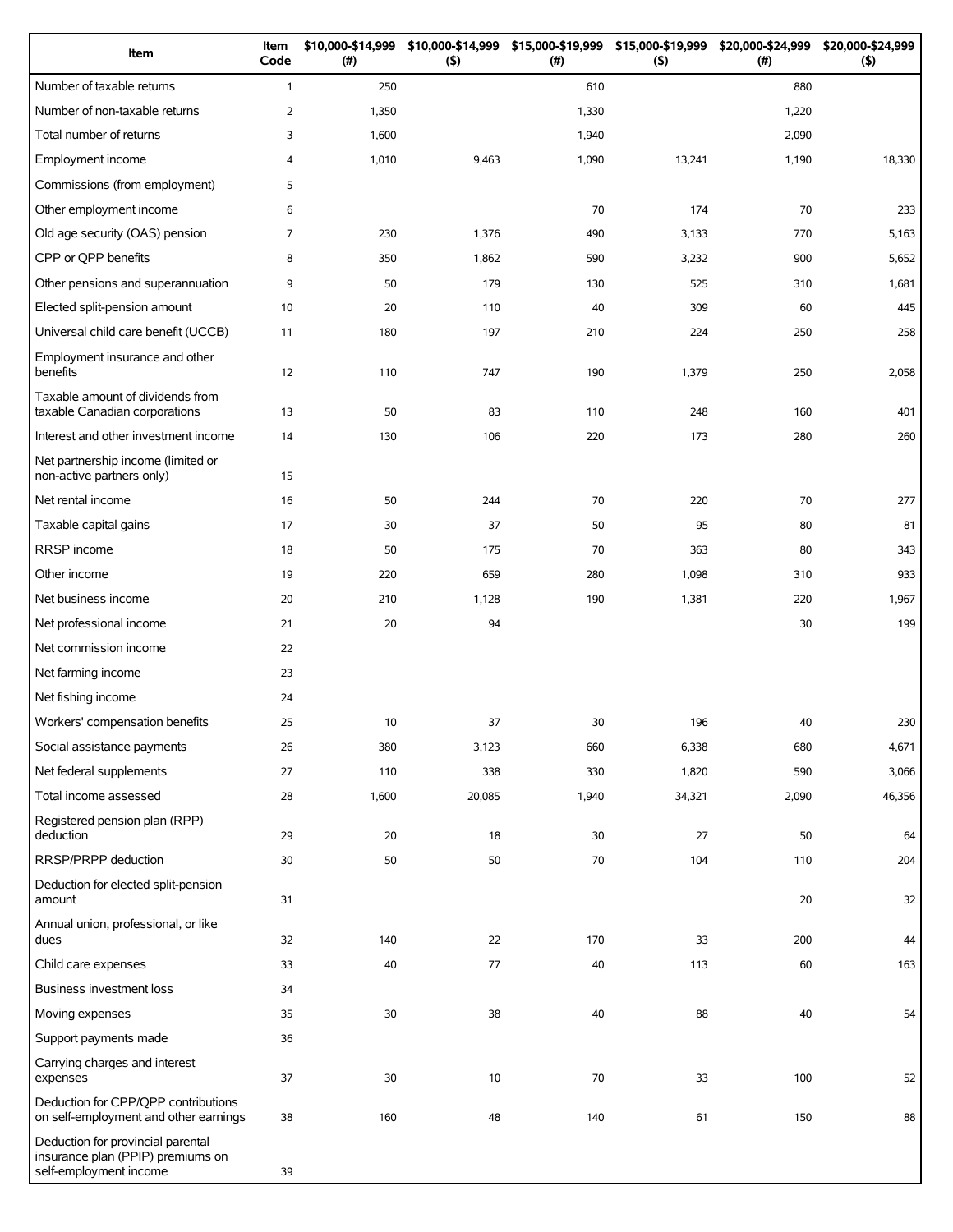| Item                                                                                             | Item<br>Code   | \$10,000-\$14,999<br>(#) | \$10,000-\$14,999<br>$($ \$) | \$15,000-\$19,999<br>(#) | \$15,000-\$19,999<br>$($ \$) | \$20,000-\$24,999<br>(#) | \$20,000-\$24,999<br>$($ \$) |
|--------------------------------------------------------------------------------------------------|----------------|--------------------------|------------------------------|--------------------------|------------------------------|--------------------------|------------------------------|
| Number of taxable returns                                                                        | $\mathbf{1}$   | 250                      |                              | 610                      |                              | 880                      |                              |
| Number of non-taxable returns                                                                    | $\overline{2}$ | 1,350                    |                              | 1,330                    |                              | 1,220                    |                              |
| Total number of returns                                                                          | 3              | 1,600                    |                              | 1,940                    |                              | 2,090                    |                              |
| Employment income                                                                                | 4              | 1,010                    | 9,463                        | 1,090                    | 13,241                       | 1,190                    | 18,330                       |
| Commissions (from employment)                                                                    | 5              |                          |                              |                          |                              |                          |                              |
| Other employment income                                                                          | 6              |                          |                              | 70                       | 174                          | 70                       | 233                          |
| Old age security (OAS) pension                                                                   | 7              | 230                      | 1,376                        | 490                      | 3,133                        | 770                      | 5,163                        |
| CPP or QPP benefits                                                                              | 8              | 350                      | 1,862                        | 590                      | 3,232                        | 900                      | 5,652                        |
| Other pensions and superannuation                                                                | 9              | 50                       | 179                          | 130                      | 525                          | 310                      | 1,681                        |
| Elected split-pension amount                                                                     | 10             | 20                       | 110                          | 40                       | 309                          | 60                       | 445                          |
| Universal child care benefit (UCCB)                                                              | 11             | 180                      | 197                          | 210                      | 224                          | 250                      | 258                          |
| Employment insurance and other<br>benefits                                                       | 12             | 110                      | 747                          | 190                      | 1,379                        | 250                      | 2,058                        |
| Taxable amount of dividends from<br>taxable Canadian corporations                                | 13             | 50                       | 83                           | 110                      | 248                          | 160                      | 401                          |
| Interest and other investment income                                                             | 14             | 130                      | 106                          | 220                      | 173                          | 280                      | 260                          |
| Net partnership income (limited or<br>non-active partners only)                                  | 15             |                          |                              |                          |                              |                          |                              |
| Net rental income                                                                                | 16             | 50                       | 244                          | 70                       | 220                          | 70                       | 277                          |
| Taxable capital gains                                                                            | 17             | 30                       | 37                           | 50                       | 95                           | 80                       | 81                           |
| <b>RRSP</b> income                                                                               | 18             | 50                       | 175                          | 70                       | 363                          | 80                       | 343                          |
| Other income                                                                                     | 19             | 220                      | 659                          | 280                      | 1,098                        | 310                      | 933                          |
| Net business income                                                                              | 20             | 210                      | 1,128                        | 190                      | 1,381                        | 220                      | 1,967                        |
| Net professional income                                                                          | 21             | 20                       | 94                           |                          |                              | 30                       | 199                          |
| Net commission income                                                                            | 22             |                          |                              |                          |                              |                          |                              |
| Net farming income                                                                               | 23             |                          |                              |                          |                              |                          |                              |
| Net fishing income                                                                               | 24             |                          |                              |                          |                              |                          |                              |
| Workers' compensation benefits                                                                   | 25             | 10                       | 37                           | 30                       | 196                          | 40                       | 230                          |
| Social assistance payments                                                                       | 26             | 380                      | 3,123                        | 660                      | 6,338                        | 680                      | 4,671                        |
| Net federal supplements                                                                          | 27             | 110                      | 338                          | 330                      | 1,820                        | 590                      | 3,066                        |
| Total income assessed                                                                            | 28             | 1,600                    | 20,085                       | 1,940                    | 34,321                       | 2,090                    | 46,356                       |
| Registered pension plan (RPP)<br>deduction                                                       | 29             | 20                       | 18                           | 30                       | 27                           | 50                       | 64                           |
| RRSP/PRPP deduction                                                                              | 30             | 50                       | 50                           | 70                       | 104                          | 110                      | 204                          |
| Deduction for elected split-pension<br>amount                                                    | 31             |                          |                              |                          |                              | 20                       | 32                           |
| Annual union, professional, or like<br>dues                                                      | 32             | 140                      | 22                           | 170                      | 33                           | 200                      | 44                           |
| Child care expenses                                                                              | 33             | 40                       | 77                           | 40                       | 113                          | 60                       | 163                          |
| <b>Business investment loss</b>                                                                  | 34             |                          |                              |                          |                              |                          |                              |
| Moving expenses                                                                                  | 35             | 30                       | 38                           | 40                       | 88                           | 40                       | 54                           |
| Support payments made                                                                            | 36             |                          |                              |                          |                              |                          |                              |
| Carrying charges and interest<br>expenses                                                        | 37             | 30                       | 10                           | 70                       | 33                           | 100                      | 52                           |
| Deduction for CPP/QPP contributions<br>on self-employment and other earnings                     | 38             | 160                      | 48                           | 140                      | 61                           | 150                      | 88                           |
| Deduction for provincial parental<br>insurance plan (PPIP) premiums on<br>self-employment income | 39             |                          |                              |                          |                              |                          |                              |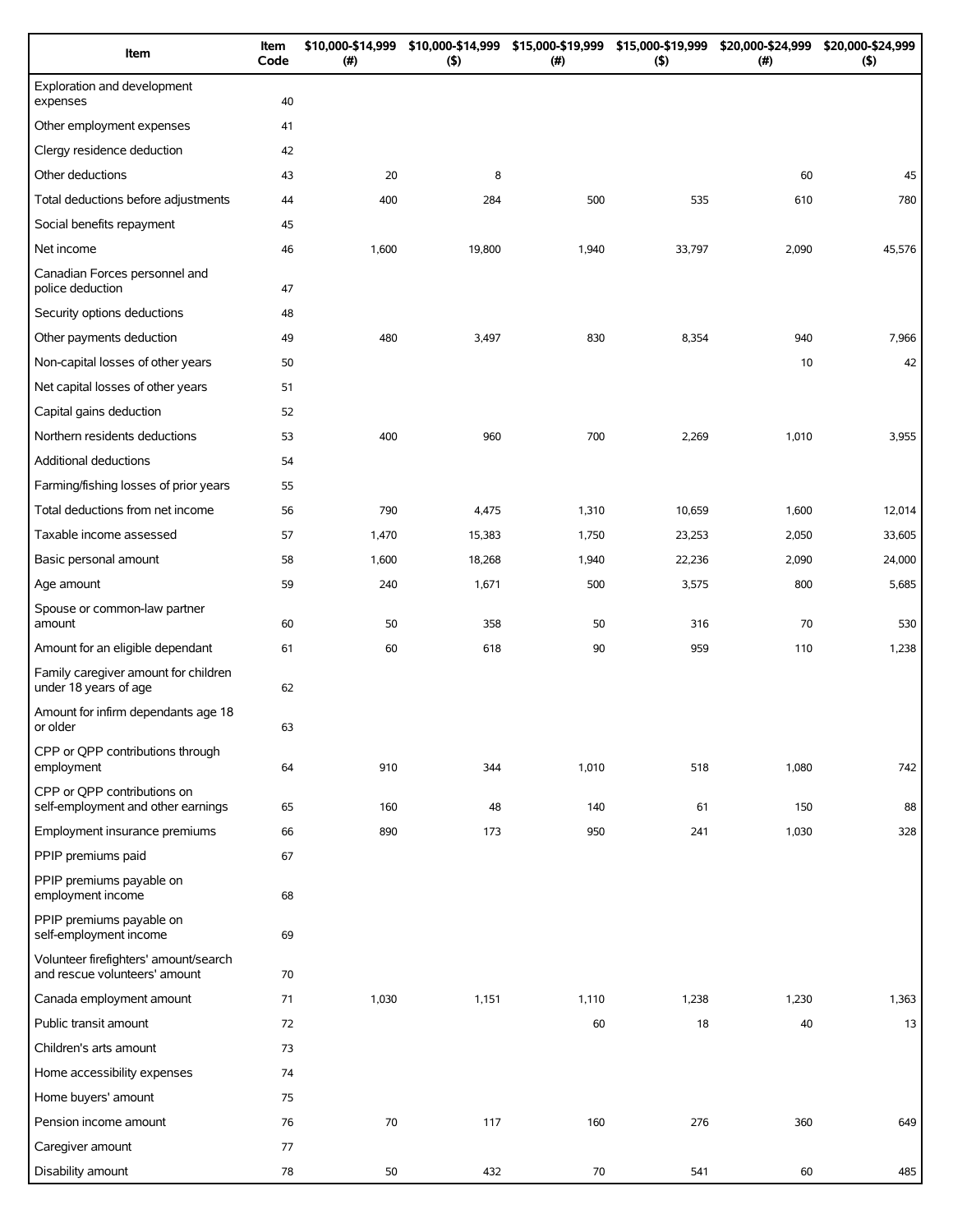| Item                                                                   | Item<br>Code | \$10,000-\$14,999<br>(#) | \$10,000-\$14,999<br>(5) | \$15,000-\$19,999<br>(# ) | \$15,000-\$19,999<br>$($ \$) | \$20,000-\$24,999<br>(#) | \$20,000-\$24,999<br>(5) |
|------------------------------------------------------------------------|--------------|--------------------------|--------------------------|---------------------------|------------------------------|--------------------------|--------------------------|
| Exploration and development<br>expenses                                | 40           |                          |                          |                           |                              |                          |                          |
| Other employment expenses                                              | 41           |                          |                          |                           |                              |                          |                          |
| Clergy residence deduction                                             | 42           |                          |                          |                           |                              |                          |                          |
| Other deductions                                                       | 43           | 20                       | 8                        |                           |                              | 60                       | 45                       |
| Total deductions before adjustments                                    | 44           | 400                      | 284                      | 500                       | 535                          | 610                      | 780                      |
| Social benefits repayment                                              | 45           |                          |                          |                           |                              |                          |                          |
| Net income                                                             | 46           | 1,600                    | 19,800                   | 1,940                     | 33,797                       | 2,090                    | 45,576                   |
| Canadian Forces personnel and<br>police deduction                      | 47           |                          |                          |                           |                              |                          |                          |
| Security options deductions                                            | 48           |                          |                          |                           |                              |                          |                          |
| Other payments deduction                                               | 49           | 480                      | 3,497                    | 830                       | 8,354                        | 940                      | 7,966                    |
| Non-capital losses of other years                                      | 50           |                          |                          |                           |                              | 10                       | 42                       |
| Net capital losses of other years                                      | 51           |                          |                          |                           |                              |                          |                          |
| Capital gains deduction                                                | 52           |                          |                          |                           |                              |                          |                          |
| Northern residents deductions                                          | 53           | 400                      | 960                      | 700                       | 2,269                        | 1,010                    | 3,955                    |
| Additional deductions                                                  | 54           |                          |                          |                           |                              |                          |                          |
| Farming/fishing losses of prior years                                  | 55           |                          |                          |                           |                              |                          |                          |
| Total deductions from net income                                       | 56           | 790                      | 4,475                    | 1,310                     | 10,659                       | 1,600                    | 12,014                   |
| Taxable income assessed                                                | 57           | 1,470                    | 15,383                   | 1,750                     | 23,253                       | 2,050                    | 33,605                   |
| Basic personal amount                                                  | 58           | 1,600                    | 18,268                   | 1,940                     | 22,236                       | 2,090                    | 24,000                   |
| Age amount                                                             | 59           | 240                      | 1,671                    | 500                       | 3,575                        | 800                      | 5,685                    |
| Spouse or common-law partner<br>amount                                 | 60           | 50                       | 358                      | 50                        | 316                          | 70                       | 530                      |
| Amount for an eligible dependant                                       | 61           | 60                       | 618                      | 90                        | 959                          | 110                      | 1,238                    |
| Family caregiver amount for children<br>under 18 years of age          | 62           |                          |                          |                           |                              |                          |                          |
| Amount for infirm dependants age 18<br>or older                        | 63           |                          |                          |                           |                              |                          |                          |
| CPP or QPP contributions through<br>employment                         | 64           | 910                      | 344                      | 1,010                     | 518                          | 1,080                    | 742                      |
| CPP or QPP contributions on<br>self-employment and other earnings      | 65           | 160                      | 48                       | 140                       | 61                           | 150                      | 88                       |
| Employment insurance premiums                                          | 66           | 890                      | 173                      | 950                       | 241                          | 1,030                    | 328                      |
| PPIP premiums paid                                                     | 67           |                          |                          |                           |                              |                          |                          |
| PPIP premiums payable on<br>employment income                          | 68           |                          |                          |                           |                              |                          |                          |
| PPIP premiums payable on<br>self-employment income                     | 69           |                          |                          |                           |                              |                          |                          |
| Volunteer firefighters' amount/search<br>and rescue volunteers' amount | 70           |                          |                          |                           |                              |                          |                          |
| Canada employment amount                                               | 71           | 1,030                    | 1,151                    | 1,110                     | 1,238                        | 1,230                    | 1,363                    |
| Public transit amount                                                  | 72           |                          |                          | 60                        | 18                           | 40                       | 13                       |
| Children's arts amount                                                 | 73           |                          |                          |                           |                              |                          |                          |
| Home accessibility expenses                                            | 74           |                          |                          |                           |                              |                          |                          |
| Home buyers' amount                                                    | 75           |                          |                          |                           |                              |                          |                          |
| Pension income amount                                                  | 76           | 70                       | 117                      | 160                       | 276                          | 360                      | 649                      |
| Caregiver amount                                                       | 77           |                          |                          |                           |                              |                          |                          |
| Disability amount                                                      | 78           | 50                       | 432                      | 70                        | 541                          | 60                       | 485                      |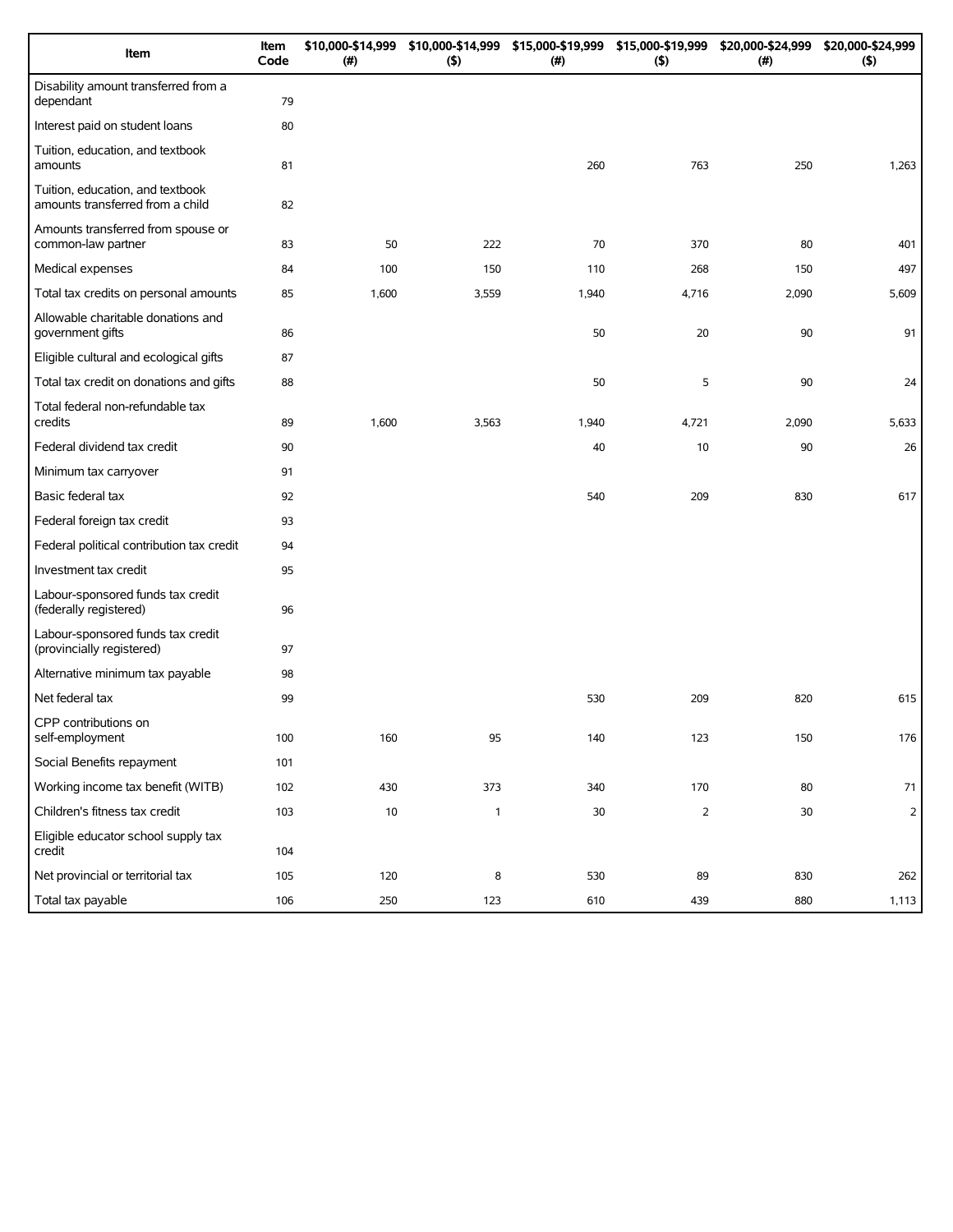| Item                                                                 | Item<br>Code | \$10,000-\$14,999<br>(#) | (5)          | \$10,000-\$14,999 \$15,000-\$19,999 \$15,000-\$19,999<br>(#) | (5)            | \$20,000-\$24,999<br>(#) | \$20,000-\$24,999<br>(5) |
|----------------------------------------------------------------------|--------------|--------------------------|--------------|--------------------------------------------------------------|----------------|--------------------------|--------------------------|
| Disability amount transferred from a<br>dependant                    | 79           |                          |              |                                                              |                |                          |                          |
| Interest paid on student loans                                       | 80           |                          |              |                                                              |                |                          |                          |
| Tuition, education, and textbook<br>amounts                          | 81           |                          |              | 260                                                          | 763            | 250                      | 1,263                    |
| Tuition, education, and textbook<br>amounts transferred from a child | 82           |                          |              |                                                              |                |                          |                          |
| Amounts transferred from spouse or<br>common-law partner             | 83           | 50                       | 222          | 70                                                           | 370            | 80                       | 401                      |
| Medical expenses                                                     | 84           | 100                      | 150          | 110                                                          | 268            | 150                      | 497                      |
| Total tax credits on personal amounts                                | 85           | 1,600                    | 3,559        | 1,940                                                        | 4,716          | 2,090                    | 5,609                    |
| Allowable charitable donations and<br>government gifts               | 86           |                          |              | 50                                                           | 20             | 90                       | 91                       |
| Eligible cultural and ecological gifts                               | 87           |                          |              |                                                              |                |                          |                          |
| Total tax credit on donations and gifts                              | 88           |                          |              | 50                                                           | 5              | 90                       | 24                       |
| Total federal non-refundable tax<br>credits                          | 89           | 1,600                    | 3,563        | 1,940                                                        | 4,721          | 2,090                    | 5,633                    |
| Federal dividend tax credit                                          | 90           |                          |              | 40                                                           | 10             | 90                       | 26                       |
| Minimum tax carryover                                                | 91           |                          |              |                                                              |                |                          |                          |
| Basic federal tax                                                    | 92           |                          |              | 540                                                          | 209            | 830                      | 617                      |
| Federal foreign tax credit                                           | 93           |                          |              |                                                              |                |                          |                          |
| Federal political contribution tax credit                            | 94           |                          |              |                                                              |                |                          |                          |
| Investment tax credit                                                | 95           |                          |              |                                                              |                |                          |                          |
| Labour-sponsored funds tax credit<br>(federally registered)          | 96           |                          |              |                                                              |                |                          |                          |
| Labour-sponsored funds tax credit<br>(provincially registered)       | 97           |                          |              |                                                              |                |                          |                          |
| Alternative minimum tax payable                                      | 98           |                          |              |                                                              |                |                          |                          |
| Net federal tax                                                      | 99           |                          |              | 530                                                          | 209            | 820                      | 615                      |
| CPP contributions on<br>self-employment                              | 100          | 160                      | 95           | 140                                                          | 123            | 150                      | 176                      |
| Social Benefits repayment                                            | 101          |                          |              |                                                              |                |                          |                          |
| Working income tax benefit (WITB)                                    | 102          | 430                      | 373          | 340                                                          | 170            | 80                       | $71\,$                   |
| Children's fitness tax credit                                        | 103          | 10                       | $\mathbf{1}$ | $30\,$                                                       | $\overline{2}$ | 30                       | $\mathsf{2}$             |
| Eligible educator school supply tax<br>credit                        | 104          |                          |              |                                                              |                |                          |                          |
| Net provincial or territorial tax                                    | 105          | 120                      | 8            | 530                                                          | 89             | 830                      | 262                      |
| Total tax payable                                                    | 106          | 250                      | 123          | 610                                                          | 439            | 880                      | 1,113                    |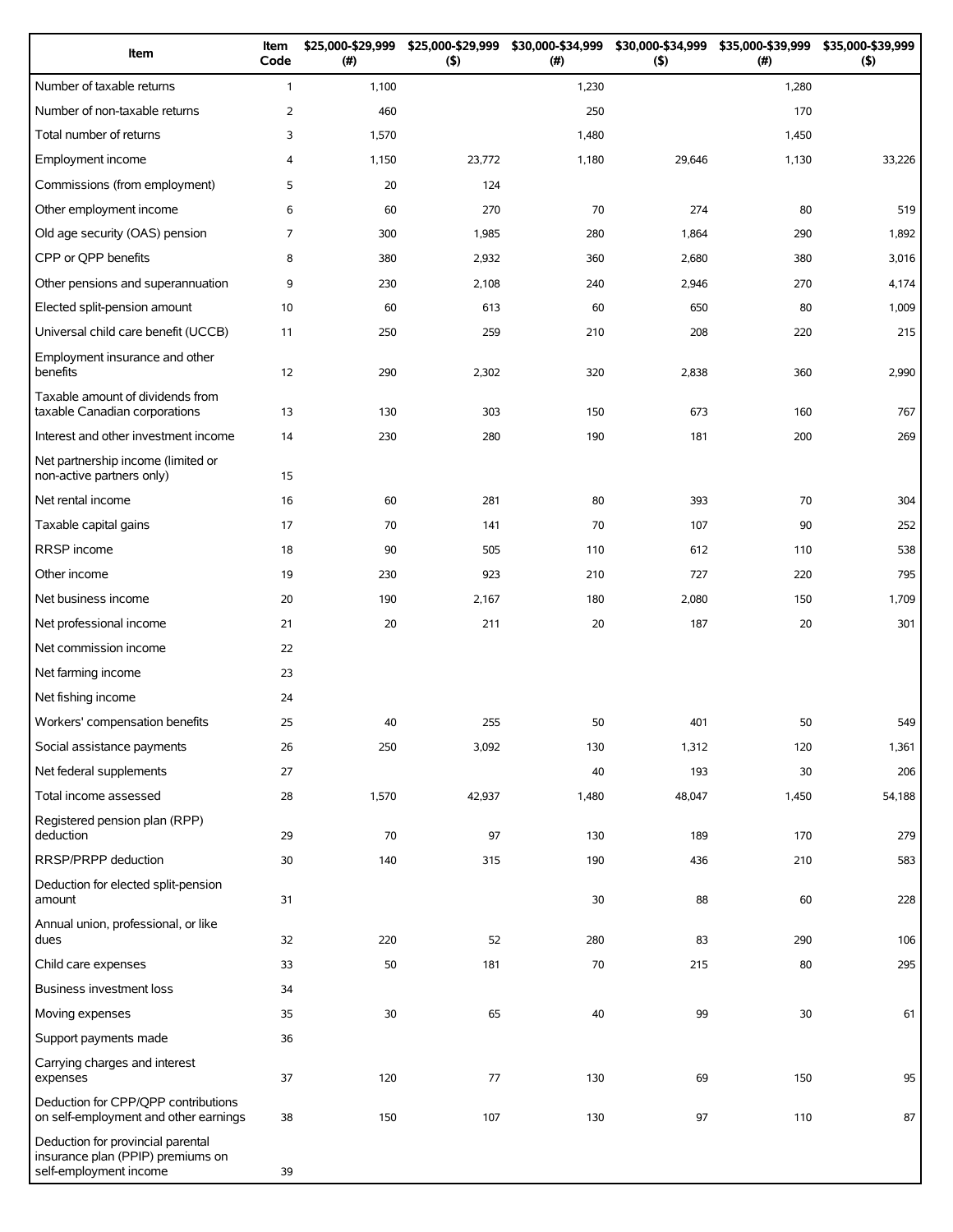| Item                                                                                             | Item<br>Code   | \$25,000-\$29,999<br>(#) | \$25,000-\$29,999<br>$($ \$) | \$30,000-\$34,999<br>(# ) | \$30,000-\$34,999<br>$($ \$) | \$35,000-\$39,999<br>(#) | \$35,000-\$39,999<br>(5) |
|--------------------------------------------------------------------------------------------------|----------------|--------------------------|------------------------------|---------------------------|------------------------------|--------------------------|--------------------------|
| Number of taxable returns                                                                        | $\mathbf{1}$   | 1,100                    |                              | 1,230                     |                              | 1,280                    |                          |
| Number of non-taxable returns                                                                    | $\overline{2}$ | 460                      |                              | 250                       |                              | 170                      |                          |
| Total number of returns                                                                          | 3              | 1,570                    |                              | 1,480                     |                              | 1,450                    |                          |
| Employment income                                                                                | 4              | 1,150                    | 23,772                       | 1,180                     | 29,646                       | 1,130                    | 33,226                   |
| Commissions (from employment)                                                                    | 5              | 20                       | 124                          |                           |                              |                          |                          |
| Other employment income                                                                          | 6              | 60                       | 270                          | 70                        | 274                          | 80                       | 519                      |
| Old age security (OAS) pension                                                                   | $\overline{7}$ | 300                      | 1,985                        | 280                       | 1,864                        | 290                      | 1,892                    |
| CPP or QPP benefits                                                                              | 8              | 380                      | 2,932                        | 360                       | 2,680                        | 380                      | 3,016                    |
| Other pensions and superannuation                                                                | 9              | 230                      | 2,108                        | 240                       | 2,946                        | 270                      | 4,174                    |
| Elected split-pension amount                                                                     | 10             | 60                       | 613                          | 60                        | 650                          | 80                       | 1,009                    |
| Universal child care benefit (UCCB)                                                              | 11             | 250                      | 259                          | 210                       | 208                          | 220                      | 215                      |
| Employment insurance and other<br>benefits                                                       | 12             | 290                      | 2,302                        | 320                       | 2,838                        | 360                      | 2,990                    |
| Taxable amount of dividends from                                                                 |                |                          |                              |                           |                              |                          |                          |
| taxable Canadian corporations                                                                    | 13             | 130                      | 303                          | 150                       | 673                          | 160                      | 767                      |
| Interest and other investment income                                                             | 14             | 230                      | 280                          | 190                       | 181                          | 200                      | 269                      |
| Net partnership income (limited or<br>non-active partners only)                                  | 15             |                          |                              |                           |                              |                          |                          |
| Net rental income                                                                                | 16             | 60                       | 281                          | 80                        | 393                          | 70                       | 304                      |
| Taxable capital gains                                                                            | 17             | 70                       | 141                          | 70                        | 107                          | 90                       | 252                      |
| <b>RRSP</b> income                                                                               | 18             | 90                       | 505                          | 110                       | 612                          | 110                      | 538                      |
| Other income                                                                                     | 19             | 230                      | 923                          | 210                       | 727                          | 220                      | 795                      |
| Net business income                                                                              | 20             | 190                      | 2,167                        | 180                       | 2,080                        | 150                      | 1,709                    |
| Net professional income                                                                          | 21             | 20                       | 211                          | 20                        | 187                          | 20                       | 301                      |
| Net commission income                                                                            | 22             |                          |                              |                           |                              |                          |                          |
| Net farming income                                                                               | 23             |                          |                              |                           |                              |                          |                          |
| Net fishing income                                                                               | 24             |                          |                              |                           |                              |                          |                          |
| Workers' compensation benefits                                                                   | 25             | 40                       | 255                          | 50                        | 401                          | 50                       | 549                      |
| Social assistance payments                                                                       | 26             | 250                      | 3,092                        | 130                       | 1,312                        | 120                      | 1,361                    |
| Net federal supplements                                                                          | 27             |                          |                              | 40                        | 193                          | 30                       | 206                      |
| Total income assessed                                                                            | 28             | 1,570                    | 42,937                       | 1,480                     | 48,047                       | 1,450                    | 54,188                   |
| Registered pension plan (RPP)<br>deduction                                                       | 29             | 70                       | 97                           | 130                       | 189                          | 170                      | 279                      |
| RRSP/PRPP deduction                                                                              | 30             | 140                      | 315                          | 190                       | 436                          | 210                      | 583                      |
| Deduction for elected split-pension<br>amount                                                    | 31             |                          |                              | 30                        | 88                           | 60                       | 228                      |
| Annual union, professional, or like<br>dues                                                      | 32             | 220                      | 52                           | 280                       | 83                           | 290                      | 106                      |
| Child care expenses                                                                              | 33             | 50                       | 181                          | 70                        | 215                          | 80                       | 295                      |
| Business investment loss                                                                         | 34             |                          |                              |                           |                              |                          |                          |
| Moving expenses                                                                                  | 35             | 30                       | 65                           | 40                        | 99                           | 30                       | 61                       |
| Support payments made                                                                            | 36             |                          |                              |                           |                              |                          |                          |
| Carrying charges and interest<br>expenses                                                        | 37             | 120                      | 77                           | 130                       | 69                           | 150                      | 95                       |
| Deduction for CPP/QPP contributions<br>on self-employment and other earnings                     | 38             | 150                      | 107                          | 130                       | 97                           | 110                      | 87                       |
| Deduction for provincial parental<br>insurance plan (PPIP) premiums on<br>self-employment income | 39             |                          |                              |                           |                              |                          |                          |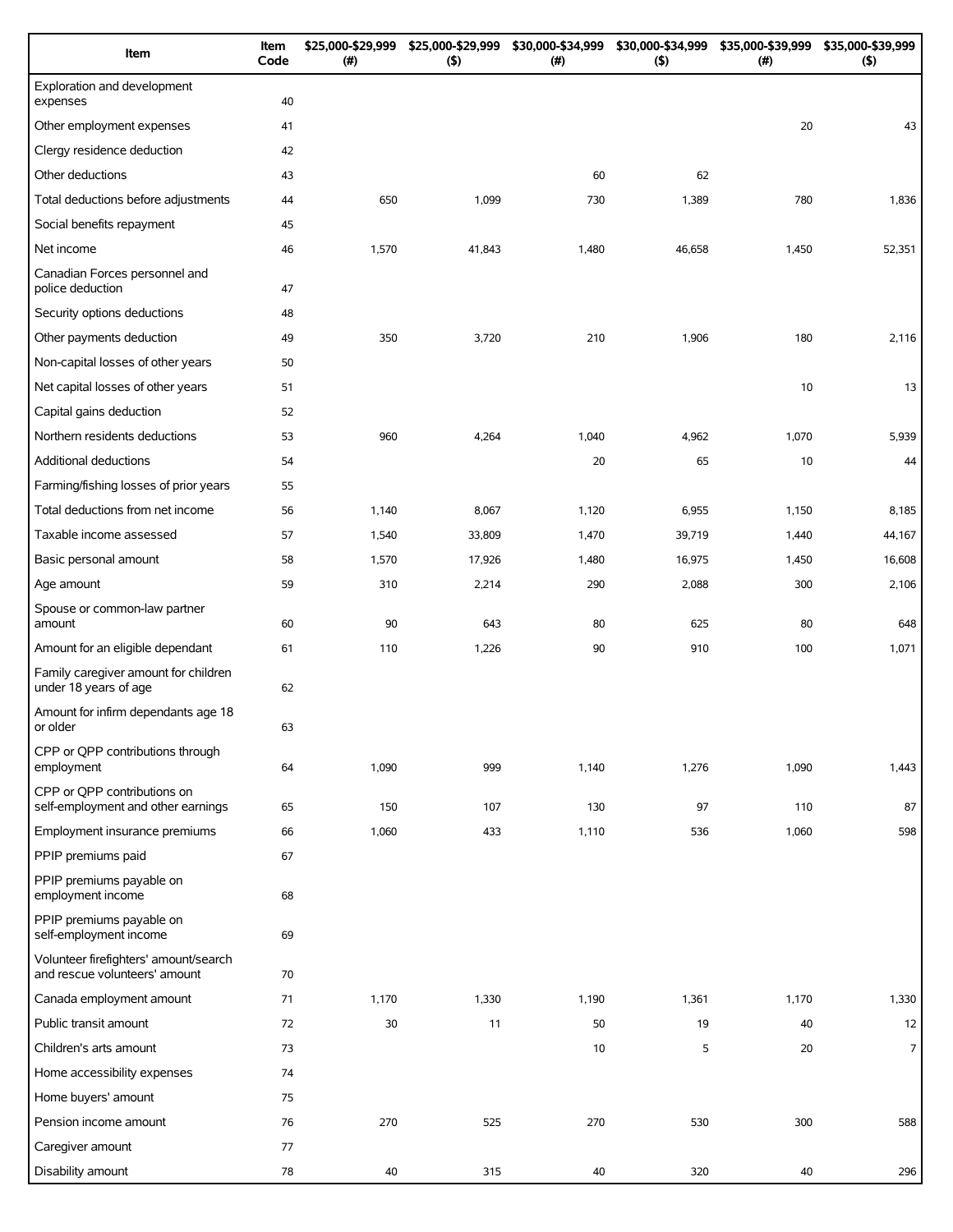| Item                                                                   | Item<br>Code | \$25,000-\$29,999<br>(#) | \$25,000-\$29,999<br>(5) | \$30,000-\$34,999<br>(#) | \$30,000-\$34,999<br>$($ \$) | \$35,000-\$39,999<br>(#) | \$35,000-\$39,999<br>(5) |
|------------------------------------------------------------------------|--------------|--------------------------|--------------------------|--------------------------|------------------------------|--------------------------|--------------------------|
| Exploration and development<br>expenses                                | 40           |                          |                          |                          |                              |                          |                          |
| Other employment expenses                                              | 41           |                          |                          |                          |                              | 20                       | 43                       |
| Clergy residence deduction                                             | 42           |                          |                          |                          |                              |                          |                          |
| Other deductions                                                       | 43           |                          |                          | 60                       | 62                           |                          |                          |
| Total deductions before adjustments                                    | 44           | 650                      | 1,099                    | 730                      | 1,389                        | 780                      | 1,836                    |
| Social benefits repayment                                              | 45           |                          |                          |                          |                              |                          |                          |
| Net income                                                             | 46           | 1,570                    | 41,843                   | 1,480                    | 46,658                       | 1,450                    | 52,351                   |
| Canadian Forces personnel and<br>police deduction                      | 47           |                          |                          |                          |                              |                          |                          |
| Security options deductions                                            | 48           |                          |                          |                          |                              |                          |                          |
| Other payments deduction                                               | 49           | 350                      | 3,720                    | 210                      | 1,906                        | 180                      | 2,116                    |
| Non-capital losses of other years                                      | 50           |                          |                          |                          |                              |                          |                          |
| Net capital losses of other years                                      | 51           |                          |                          |                          |                              | 10                       | 13                       |
| Capital gains deduction                                                | 52           |                          |                          |                          |                              |                          |                          |
| Northern residents deductions                                          | 53           | 960                      | 4,264                    | 1,040                    | 4,962                        | 1,070                    | 5,939                    |
| Additional deductions                                                  | 54           |                          |                          | 20                       | 65                           | 10                       | 44                       |
| Farming/fishing losses of prior years                                  | 55           |                          |                          |                          |                              |                          |                          |
| Total deductions from net income                                       | 56           | 1,140                    | 8,067                    | 1,120                    | 6,955                        | 1,150                    | 8,185                    |
| Taxable income assessed                                                | 57           | 1,540                    | 33,809                   | 1,470                    | 39,719                       | 1,440                    | 44,167                   |
| Basic personal amount                                                  | 58           | 1,570                    | 17,926                   | 1,480                    | 16,975                       | 1,450                    | 16,608                   |
| Age amount                                                             | 59           | 310                      | 2,214                    | 290                      | 2,088                        | 300                      | 2,106                    |
| Spouse or common-law partner<br>amount                                 | 60           | 90                       | 643                      | 80                       | 625                          | 80                       | 648                      |
| Amount for an eligible dependant                                       | 61           | 110                      | 1,226                    | 90                       | 910                          | 100                      | 1,071                    |
| Family caregiver amount for children<br>under 18 years of age          | 62           |                          |                          |                          |                              |                          |                          |
| Amount for infirm dependants age 18<br>or older                        | 63           |                          |                          |                          |                              |                          |                          |
| CPP or QPP contributions through<br>employment                         | 64           | 1,090                    | 999                      | 1,140                    | 1,276                        | 1,090                    | 1,443                    |
| CPP or QPP contributions on<br>self-employment and other earnings      | 65           | 150                      | 107                      | 130                      | 97                           | 110                      | 87                       |
| Employment insurance premiums                                          | 66           | 1,060                    | 433                      | 1,110                    | 536                          | 1,060                    | 598                      |
| PPIP premiums paid                                                     | 67           |                          |                          |                          |                              |                          |                          |
| PPIP premiums payable on<br>employment income                          | 68           |                          |                          |                          |                              |                          |                          |
| PPIP premiums payable on<br>self-employment income                     | 69           |                          |                          |                          |                              |                          |                          |
| Volunteer firefighters' amount/search<br>and rescue volunteers' amount | 70           |                          |                          |                          |                              |                          |                          |
| Canada employment amount                                               | 71           | 1,170                    | 1,330                    | 1,190                    | 1,361                        | 1,170                    | 1,330                    |
| Public transit amount                                                  | 72           | 30                       | 11                       | 50                       | 19                           | 40                       | 12                       |
| Children's arts amount                                                 | 73           |                          |                          | 10                       | 5                            | 20                       | $\overline{7}$           |
| Home accessibility expenses                                            | 74           |                          |                          |                          |                              |                          |                          |
| Home buyers' amount                                                    | 75           |                          |                          |                          |                              |                          |                          |
| Pension income amount                                                  | 76           | 270                      | 525                      | 270                      | 530                          | 300                      | 588                      |
| Caregiver amount                                                       | 77           |                          |                          |                          |                              |                          |                          |
| Disability amount                                                      | 78           | 40                       | 315                      | 40                       | 320                          | 40                       | 296                      |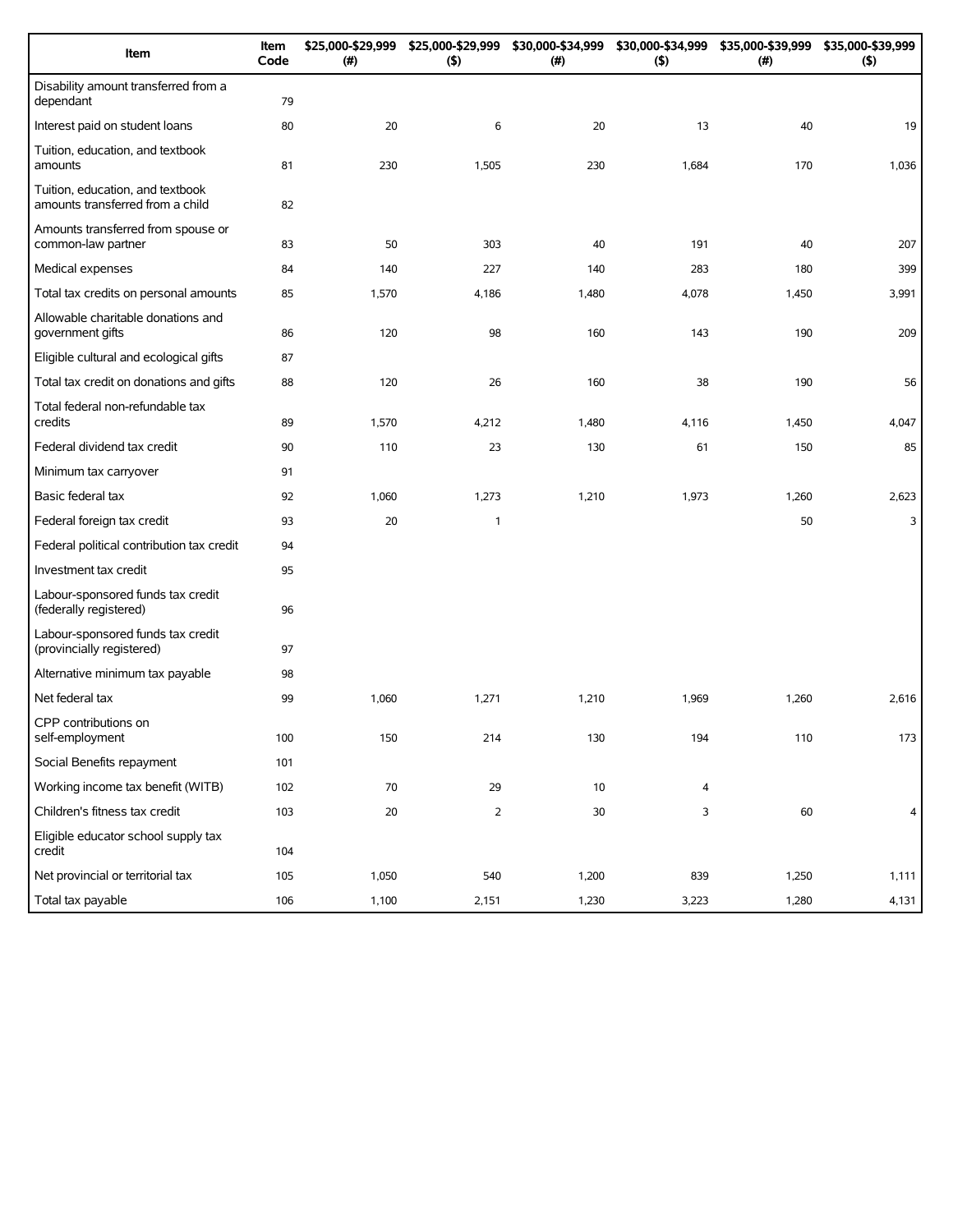| Item                                                                 | Item<br>Code | \$25,000-\$29,999<br>(#) | \$25,000-\$29,999<br>(5) | \$30,000-\$34,999<br>(#) | \$30,000-\$34,999<br>(5) | \$35,000-\$39,999<br>(#) | \$35,000-\$39,999<br>(5) |
|----------------------------------------------------------------------|--------------|--------------------------|--------------------------|--------------------------|--------------------------|--------------------------|--------------------------|
| Disability amount transferred from a<br>dependant                    | 79           |                          |                          |                          |                          |                          |                          |
| Interest paid on student loans                                       | 80           | 20                       | 6                        | 20                       | 13                       | 40                       | 19                       |
| Tuition, education, and textbook<br>amounts                          | 81           | 230                      | 1,505                    | 230                      | 1,684                    | 170                      | 1,036                    |
| Tuition, education, and textbook<br>amounts transferred from a child | 82           |                          |                          |                          |                          |                          |                          |
| Amounts transferred from spouse or<br>common-law partner             | 83           | 50                       | 303                      | 40                       | 191                      | 40                       | 207                      |
| Medical expenses                                                     | 84           | 140                      | 227                      | 140                      | 283                      | 180                      | 399                      |
| Total tax credits on personal amounts                                | 85           | 1,570                    | 4,186                    | 1,480                    | 4,078                    | 1,450                    | 3,991                    |
| Allowable charitable donations and<br>government gifts               | 86           | 120                      | 98                       | 160                      | 143                      | 190                      | 209                      |
| Eligible cultural and ecological gifts                               | 87           |                          |                          |                          |                          |                          |                          |
| Total tax credit on donations and gifts                              | 88           | 120                      | 26                       | 160                      | 38                       | 190                      | 56                       |
| Total federal non-refundable tax<br>credits                          | 89           | 1,570                    | 4,212                    | 1,480                    | 4,116                    | 1,450                    | 4,047                    |
| Federal dividend tax credit                                          | 90           | 110                      | 23                       | 130                      | 61                       | 150                      | 85                       |
| Minimum tax carryover                                                | 91           |                          |                          |                          |                          |                          |                          |
| Basic federal tax                                                    | 92           | 1,060                    | 1,273                    | 1,210                    | 1,973                    | 1,260                    | 2,623                    |
| Federal foreign tax credit                                           | 93           | 20                       | 1                        |                          |                          | 50                       | 3                        |
| Federal political contribution tax credit                            | 94           |                          |                          |                          |                          |                          |                          |
| Investment tax credit                                                | 95           |                          |                          |                          |                          |                          |                          |
| Labour-sponsored funds tax credit<br>(federally registered)          | 96           |                          |                          |                          |                          |                          |                          |
| Labour-sponsored funds tax credit<br>(provincially registered)       | 97           |                          |                          |                          |                          |                          |                          |
| Alternative minimum tax payable                                      | 98           |                          |                          |                          |                          |                          |                          |
| Net federal tax                                                      | 99           | 1,060                    | 1,271                    | 1,210                    | 1,969                    | 1,260                    | 2,616                    |
| CPP contributions on<br>self-employment                              | 100          | 150                      | 214                      | 130                      | 194                      | 110                      | 173                      |
| Social Benefits repayment                                            | 101          |                          |                          |                          |                          |                          |                          |
| Working income tax benefit (WITB)                                    | 102          | 70                       | 29                       | $10\,$                   | 4                        |                          |                          |
| Children's fitness tax credit                                        | 103          | 20                       | $\overline{2}$           | $30\,$                   | 3                        | 60                       | 4                        |
| Eligible educator school supply tax<br>credit                        | 104          |                          |                          |                          |                          |                          |                          |
| Net provincial or territorial tax                                    | 105          | 1,050                    | 540                      | 1,200                    | 839                      | 1,250                    | 1,111                    |
| Total tax payable                                                    | 106          | 1,100                    | 2,151                    | 1,230                    | 3,223                    | 1,280                    | 4,131                    |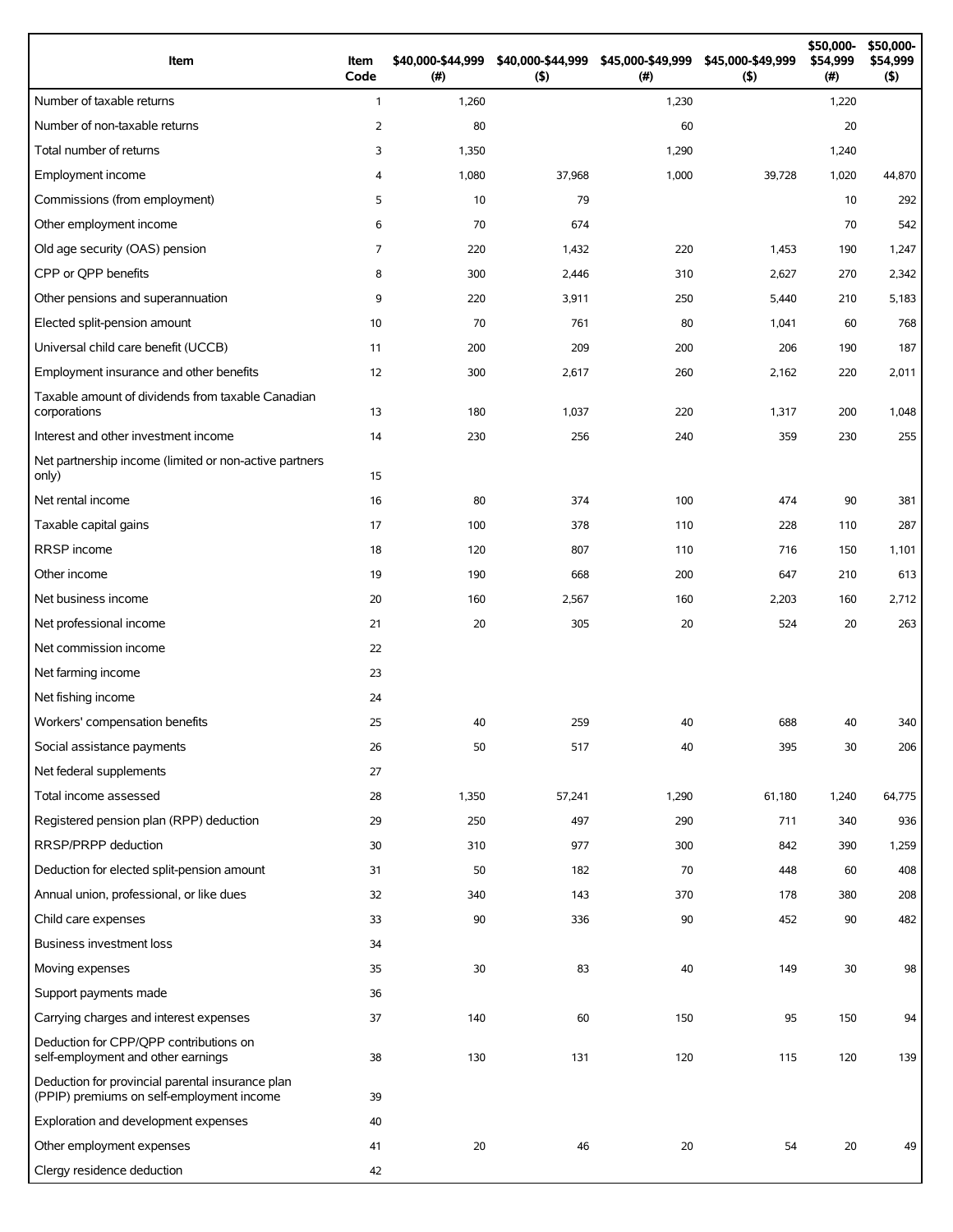| Item                                                                                          | Item<br>Code   | \$40,000-\$44,999<br>(#) | \$40,000-\$44,999<br>(5) | \$45,000-\$49,999<br>(# ) | \$45,000-\$49,999<br>(5) | \$50,000-<br>\$54,999<br>(# ) | \$50,000-<br>\$54,999<br>(5) |
|-----------------------------------------------------------------------------------------------|----------------|--------------------------|--------------------------|---------------------------|--------------------------|-------------------------------|------------------------------|
| Number of taxable returns                                                                     | $\mathbf{1}$   | 1,260                    |                          | 1,230                     |                          | 1,220                         |                              |
| Number of non-taxable returns                                                                 | 2              | 80                       |                          | 60                        |                          | 20                            |                              |
| Total number of returns                                                                       | 3              | 1,350                    |                          | 1,290                     |                          | 1,240                         |                              |
| Employment income                                                                             | 4              | 1,080                    | 37,968                   | 1,000                     | 39,728                   | 1,020                         | 44,870                       |
| Commissions (from employment)                                                                 | 5              | 10                       | 79                       |                           |                          | 10                            | 292                          |
| Other employment income                                                                       | 6              | 70                       | 674                      |                           |                          | 70                            | 542                          |
| Old age security (OAS) pension                                                                | $\overline{7}$ | 220                      | 1,432                    | 220                       | 1,453                    | 190                           | 1,247                        |
| CPP or QPP benefits                                                                           | 8              | 300                      | 2,446                    | 310                       | 2,627                    | 270                           | 2,342                        |
| Other pensions and superannuation                                                             | 9              | 220                      | 3,911                    | 250                       | 5,440                    | 210                           | 5,183                        |
| Elected split-pension amount                                                                  | 10             | 70                       | 761                      | 80                        | 1,041                    | 60                            | 768                          |
| Universal child care benefit (UCCB)                                                           | 11             | 200                      | 209                      | 200                       | 206                      | 190                           | 187                          |
| Employment insurance and other benefits                                                       | 12             | 300                      | 2,617                    | 260                       | 2,162                    | 220                           | 2,011                        |
| Taxable amount of dividends from taxable Canadian<br>corporations                             | 13             | 180                      | 1,037                    | 220                       | 1,317                    | 200                           | 1,048                        |
| Interest and other investment income                                                          | 14             | 230                      | 256                      | 240                       | 359                      | 230                           | 255                          |
| Net partnership income (limited or non-active partners<br>only)                               | 15             |                          |                          |                           |                          |                               |                              |
| Net rental income                                                                             | 16             | 80                       | 374                      | 100                       | 474                      | 90                            | 381                          |
| Taxable capital gains                                                                         | 17             | 100                      | 378                      | 110                       | 228                      | 110                           | 287                          |
| RRSP income                                                                                   | 18             | 120                      | 807                      | 110                       | 716                      | 150                           | 1,101                        |
| Other income                                                                                  | 19             | 190                      | 668                      | 200                       | 647                      | 210                           | 613                          |
| Net business income                                                                           | 20             | 160                      | 2,567                    | 160                       | 2,203                    | 160                           | 2,712                        |
| Net professional income                                                                       | 21             | 20                       | 305                      | 20                        | 524                      | 20                            | 263                          |
| Net commission income                                                                         | 22             |                          |                          |                           |                          |                               |                              |
| Net farming income                                                                            | 23             |                          |                          |                           |                          |                               |                              |
| Net fishing income                                                                            | 24             |                          |                          |                           |                          |                               |                              |
| Workers' compensation benefits                                                                | 25             | 40                       | 259                      | 40                        | 688                      | 40                            | 340                          |
| Social assistance payments                                                                    | 26             | 50                       | 517                      | 40                        | 395                      | 30                            | 206                          |
| Net federal supplements                                                                       | 27             |                          |                          |                           |                          |                               |                              |
| Total income assessed                                                                         | 28             | 1,350                    | 57,241                   | 1,290                     | 61,180                   | 1,240                         | 64,775                       |
| Registered pension plan (RPP) deduction                                                       | 29             | 250                      | 497                      | 290                       | 711                      | 340                           | 936                          |
| RRSP/PRPP deduction                                                                           | 30             | 310                      | 977                      | 300                       | 842                      | 390                           | 1,259                        |
| Deduction for elected split-pension amount                                                    | 31             | 50                       | 182                      | 70                        | 448                      | 60                            | 408                          |
| Annual union, professional, or like dues                                                      | 32             | 340                      | 143                      | 370                       | 178                      | 380                           | 208                          |
| Child care expenses                                                                           | 33             | 90                       | 336                      | 90                        | 452                      | 90                            | 482                          |
| Business investment loss                                                                      | 34             |                          |                          |                           |                          |                               |                              |
| Moving expenses                                                                               | 35             | 30                       | 83                       | 40                        | 149                      | 30                            | 98                           |
| Support payments made                                                                         | 36             |                          |                          |                           |                          |                               |                              |
| Carrying charges and interest expenses                                                        | 37             | 140                      | 60                       | 150                       | 95                       | 150                           | 94                           |
| Deduction for CPP/QPP contributions on<br>self-employment and other earnings                  | 38             | 130                      | 131                      | 120                       | 115                      | 120                           | 139                          |
| Deduction for provincial parental insurance plan<br>(PPIP) premiums on self-employment income | 39             |                          |                          |                           |                          |                               |                              |
| Exploration and development expenses                                                          | 40             |                          |                          |                           |                          |                               |                              |
| Other employment expenses                                                                     | 41             | 20                       | 46                       | 20                        | 54                       | 20                            | 49                           |
| Clergy residence deduction                                                                    | 42             |                          |                          |                           |                          |                               |                              |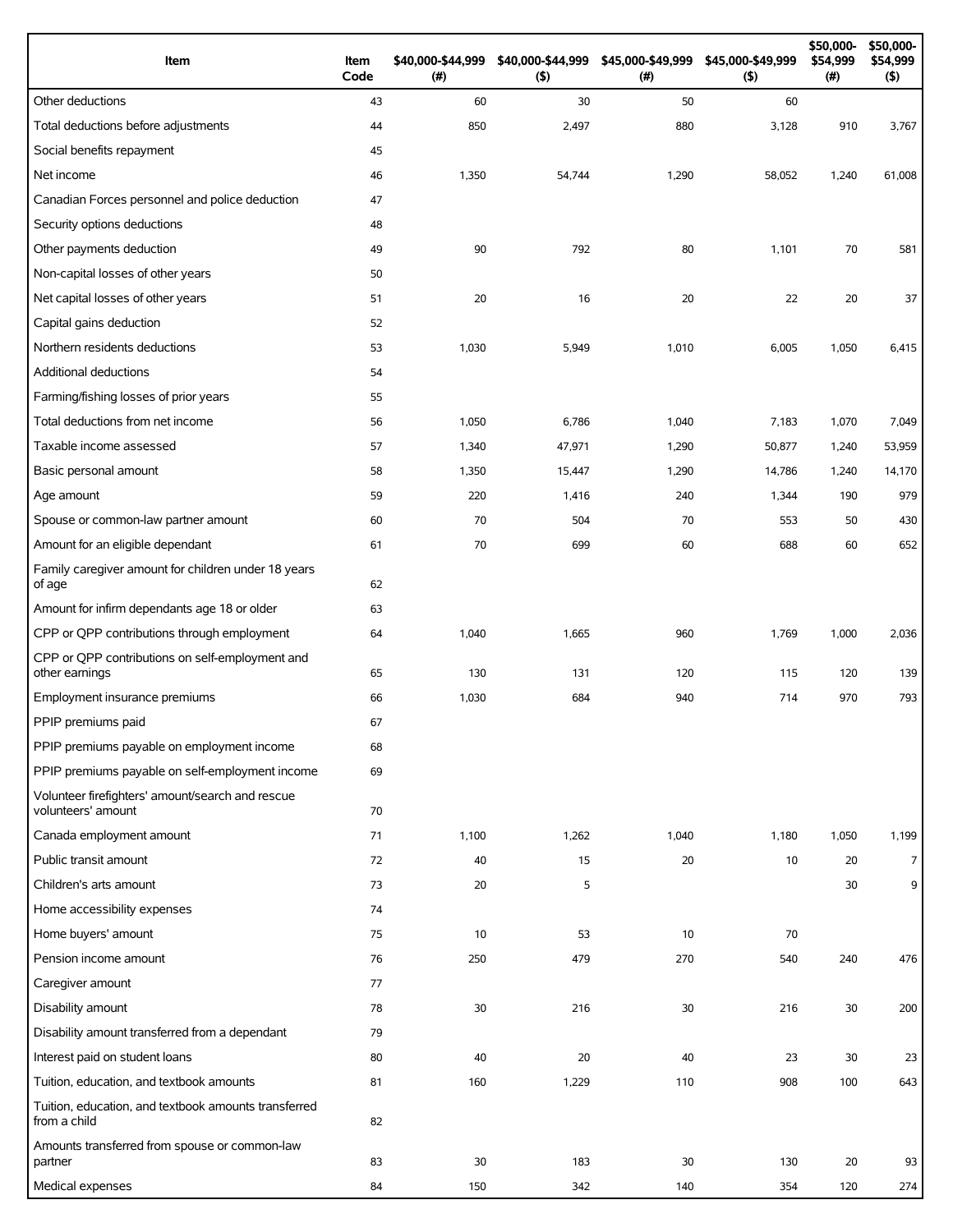| Item                                                                   | Item<br>Code | \$40,000-\$44,999<br>(# ) | \$40,000-\$44,999<br>(5) | \$45,000-\$49,999<br>(#) | \$45,000-\$49,999<br>(5) | \$50,000-<br>\$54,999<br>(#) | \$50,000-<br>\$54,999<br>$($ \$) |
|------------------------------------------------------------------------|--------------|---------------------------|--------------------------|--------------------------|--------------------------|------------------------------|----------------------------------|
| Other deductions                                                       | 43           | 60                        | 30                       | 50                       | 60                       |                              |                                  |
| Total deductions before adjustments                                    | 44           | 850                       | 2,497                    | 880                      | 3,128                    | 910                          | 3,767                            |
| Social benefits repayment                                              | 45           |                           |                          |                          |                          |                              |                                  |
| Net income                                                             | 46           | 1,350                     | 54,744                   | 1,290                    | 58,052                   | 1,240                        | 61,008                           |
| Canadian Forces personnel and police deduction                         | 47           |                           |                          |                          |                          |                              |                                  |
| Security options deductions                                            | 48           |                           |                          |                          |                          |                              |                                  |
| Other payments deduction                                               | 49           | 90                        | 792                      | 80                       | 1,101                    | 70                           | 581                              |
| Non-capital losses of other years                                      | 50           |                           |                          |                          |                          |                              |                                  |
| Net capital losses of other years                                      | 51           | 20                        | 16                       | 20                       | 22                       | 20                           | 37                               |
| Capital gains deduction                                                | 52           |                           |                          |                          |                          |                              |                                  |
| Northern residents deductions                                          | 53           | 1,030                     | 5,949                    | 1,010                    | 6,005                    | 1,050                        | 6,415                            |
| Additional deductions                                                  | 54           |                           |                          |                          |                          |                              |                                  |
| Farming/fishing losses of prior years                                  | 55           |                           |                          |                          |                          |                              |                                  |
| Total deductions from net income                                       | 56           | 1,050                     | 6,786                    | 1,040                    | 7,183                    | 1,070                        | 7,049                            |
| Taxable income assessed                                                | 57           | 1,340                     | 47,971                   | 1,290                    | 50,877                   | 1,240                        | 53,959                           |
| Basic personal amount                                                  | 58           | 1,350                     | 15,447                   | 1,290                    | 14,786                   | 1,240                        | 14,170                           |
| Age amount                                                             | 59           | 220                       | 1,416                    | 240                      | 1,344                    | 190                          | 979                              |
| Spouse or common-law partner amount                                    | 60           | 70                        | 504                      | 70                       | 553                      | 50                           | 430                              |
| Amount for an eligible dependant                                       | 61           | 70                        | 699                      | 60                       | 688                      | 60                           | 652                              |
| Family caregiver amount for children under 18 years<br>of age          | 62           |                           |                          |                          |                          |                              |                                  |
| Amount for infirm dependants age 18 or older                           | 63           |                           |                          |                          |                          |                              |                                  |
| CPP or QPP contributions through employment                            | 64           | 1,040                     | 1,665                    | 960                      | 1,769                    | 1,000                        | 2,036                            |
| CPP or QPP contributions on self-employment and<br>other earnings      | 65           | 130                       | 131                      | 120                      | 115                      | 120                          | 139                              |
| Employment insurance premiums                                          | 66           | 1,030                     | 684                      | 940                      | 714                      | 970                          | 793                              |
| PPIP premiums paid                                                     | 67           |                           |                          |                          |                          |                              |                                  |
| PPIP premiums payable on employment income                             | 68           |                           |                          |                          |                          |                              |                                  |
| PPIP premiums payable on self-employment income                        | 69           |                           |                          |                          |                          |                              |                                  |
| Volunteer firefighters' amount/search and rescue<br>volunteers' amount | 70           |                           |                          |                          |                          |                              |                                  |
| Canada employment amount                                               | 71           | 1,100                     | 1,262                    | 1,040                    | 1,180                    | 1,050                        | 1,199                            |
| Public transit amount                                                  | 72           | 40                        | 15                       | 20                       | 10                       | 20                           | $\overline{7}$                   |
| Children's arts amount                                                 | 73           | 20                        | 5                        |                          |                          | 30                           | 9                                |
| Home accessibility expenses                                            | 74           |                           |                          |                          |                          |                              |                                  |
| Home buyers' amount                                                    | 75           | 10                        | 53                       | 10                       | 70                       |                              |                                  |
| Pension income amount                                                  | 76           | 250                       | 479                      | 270                      | 540                      | 240                          | 476                              |
| Caregiver amount                                                       | 77           |                           |                          |                          |                          |                              |                                  |
| Disability amount                                                      | 78           | 30                        | 216                      | 30                       | 216                      | 30                           | 200                              |
| Disability amount transferred from a dependant                         | 79           |                           |                          |                          |                          |                              |                                  |
| Interest paid on student loans                                         | 80           | 40                        | 20                       | 40                       | 23                       | 30                           | 23                               |
| Tuition, education, and textbook amounts                               | 81           | 160                       | 1,229                    | 110                      | 908                      | 100                          | 643                              |
| Tuition, education, and textbook amounts transferred<br>from a child   | 82           |                           |                          |                          |                          |                              |                                  |
| Amounts transferred from spouse or common-law                          |              |                           |                          |                          |                          |                              |                                  |
| partner                                                                | 83           | 30                        | 183                      | 30                       | 130                      | 20                           | 93                               |
| Medical expenses                                                       | 84           | 150                       | 342                      | 140                      | 354                      | 120                          | 274                              |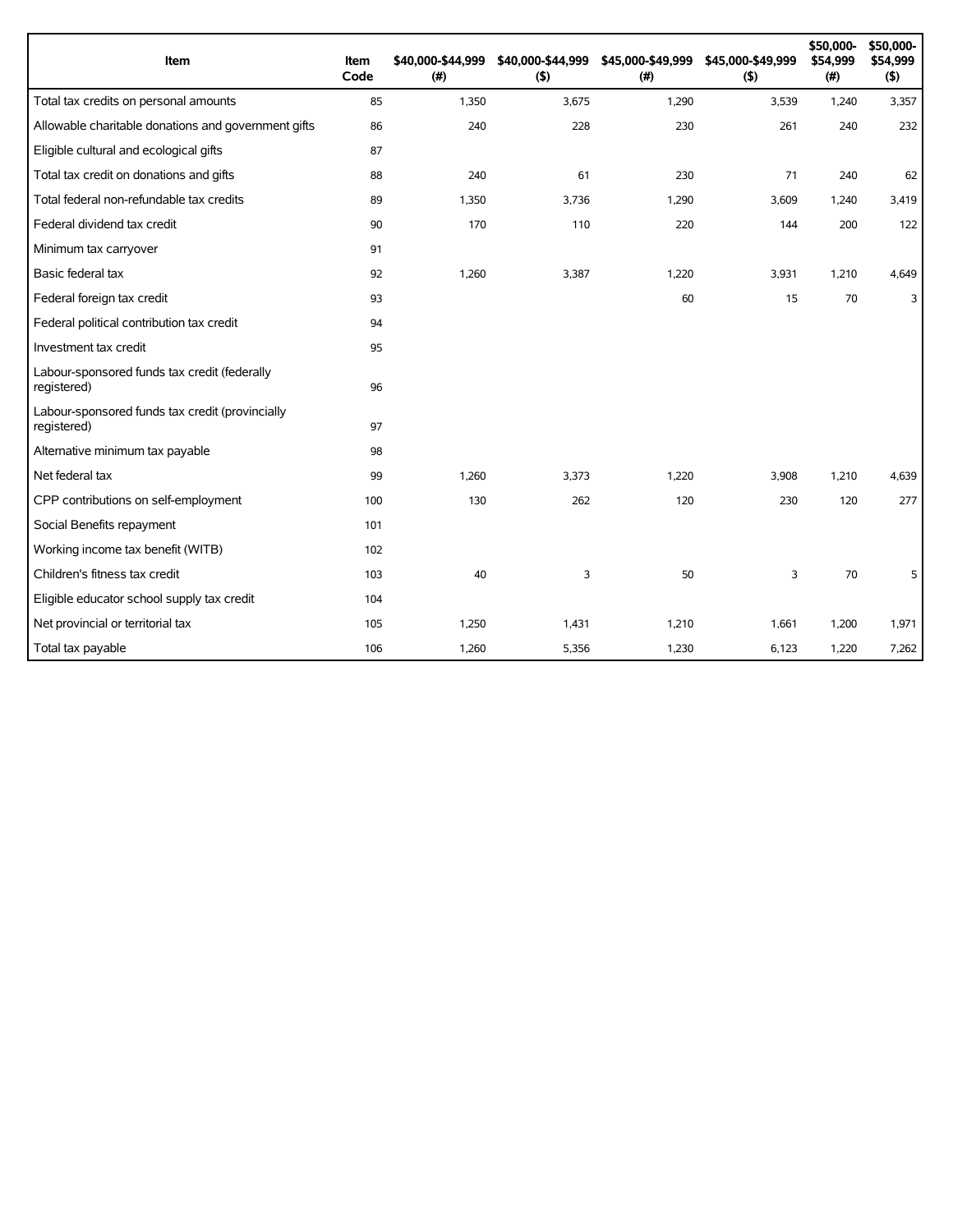| Item                                                           | Item<br>Code | \$40,000-\$44,999<br>(# ) | \$40,000-\$44,999<br>(5) | \$45,000-\$49,999<br>(#) | \$45,000-\$49,999<br>(5) | \$50,000-<br>\$54,999<br>(#) | \$50,000-<br>\$54,999<br>(5) |
|----------------------------------------------------------------|--------------|---------------------------|--------------------------|--------------------------|--------------------------|------------------------------|------------------------------|
| Total tax credits on personal amounts                          | 85           | 1,350                     | 3,675                    | 1,290                    | 3,539                    | 1,240                        | 3,357                        |
| Allowable charitable donations and government gifts            | 86           | 240                       | 228                      | 230                      | 261                      | 240                          | 232                          |
| Eligible cultural and ecological gifts                         | 87           |                           |                          |                          |                          |                              |                              |
| Total tax credit on donations and gifts                        | 88           | 240                       | 61                       | 230                      | 71                       | 240                          | 62                           |
| Total federal non-refundable tax credits                       | 89           | 1,350                     | 3,736                    | 1,290                    | 3,609                    | 1,240                        | 3,419                        |
| Federal dividend tax credit                                    | 90           | 170                       | 110                      | 220                      | 144                      | 200                          | 122                          |
| Minimum tax carryover                                          | 91           |                           |                          |                          |                          |                              |                              |
| Basic federal tax                                              | 92           | 1,260                     | 3,387                    | 1,220                    | 3,931                    | 1,210                        | 4,649                        |
| Federal foreign tax credit                                     | 93           |                           |                          | 60                       | 15                       | 70                           | 3                            |
| Federal political contribution tax credit                      | 94           |                           |                          |                          |                          |                              |                              |
| Investment tax credit                                          | 95           |                           |                          |                          |                          |                              |                              |
| Labour-sponsored funds tax credit (federally<br>registered)    | 96           |                           |                          |                          |                          |                              |                              |
| Labour-sponsored funds tax credit (provincially<br>registered) | 97           |                           |                          |                          |                          |                              |                              |
| Alternative minimum tax payable                                | 98           |                           |                          |                          |                          |                              |                              |
| Net federal tax                                                | 99           | 1,260                     | 3,373                    | 1,220                    | 3,908                    | 1,210                        | 4,639                        |
| CPP contributions on self-employment                           | 100          | 130                       | 262                      | 120                      | 230                      | 120                          | 277                          |
| Social Benefits repayment                                      | 101          |                           |                          |                          |                          |                              |                              |
| Working income tax benefit (WITB)                              | 102          |                           |                          |                          |                          |                              |                              |
| Children's fitness tax credit                                  | 103          | 40                        | 3                        | 50                       | 3                        | 70                           | 5                            |
| Eligible educator school supply tax credit                     | 104          |                           |                          |                          |                          |                              |                              |
| Net provincial or territorial tax                              | 105          | 1,250                     | 1,431                    | 1,210                    | 1,661                    | 1,200                        | 1,971                        |
| Total tax payable                                              | 106          | 1,260                     | 5,356                    | 1,230                    | 6,123                    | 1,220                        | 7,262                        |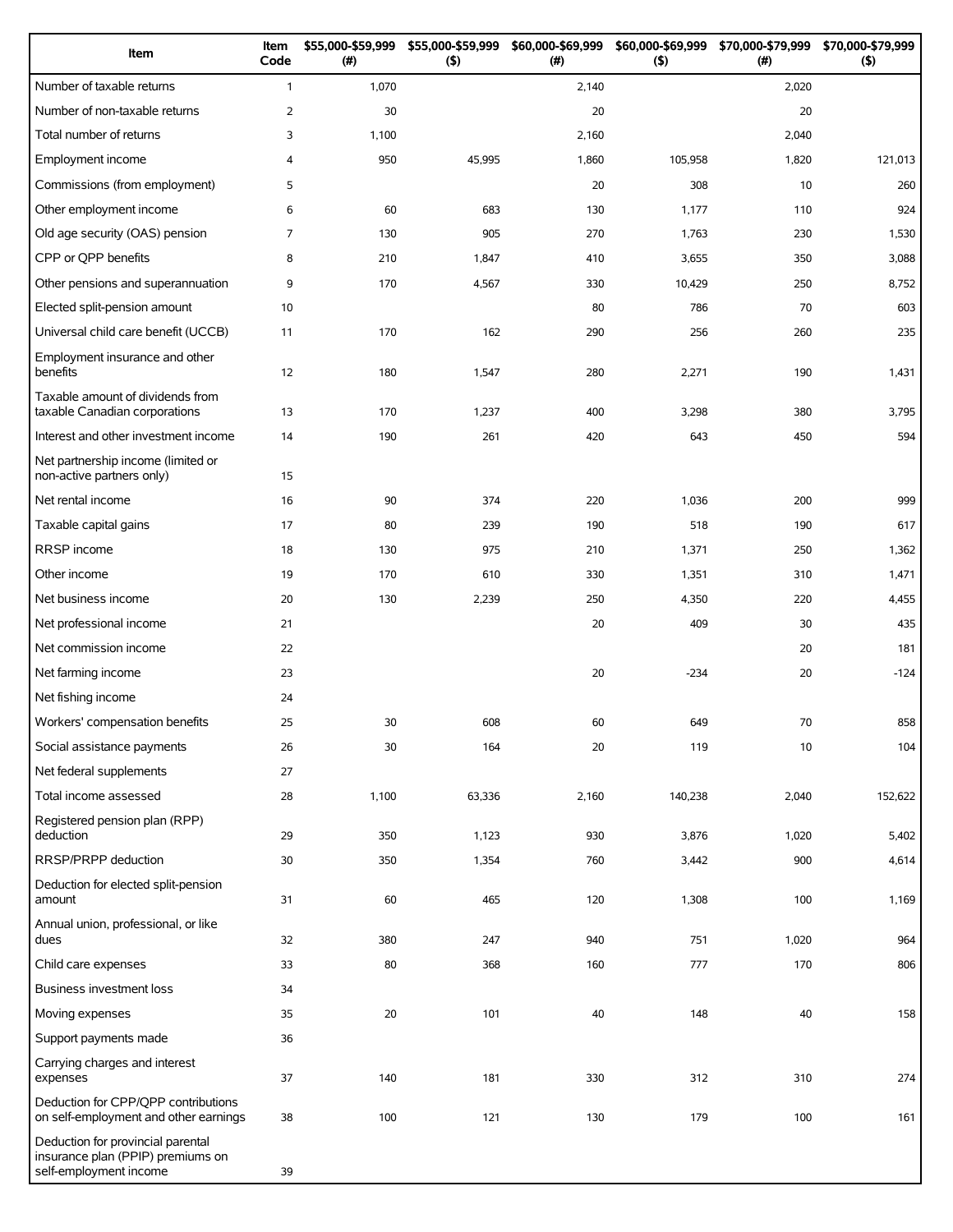| Item                                                                                             | Item<br>Code   | \$55,000-\$59,999<br>(#) | \$55,000-\$59,999<br>(5) | \$60,000-\$69,999<br>(# ) | \$60,000-\$69,999<br>(5) | \$70,000-\$79,999<br>(# ) | \$70,000-\$79,999<br>(5) |
|--------------------------------------------------------------------------------------------------|----------------|--------------------------|--------------------------|---------------------------|--------------------------|---------------------------|--------------------------|
| Number of taxable returns                                                                        | $\mathbf{1}$   | 1,070                    |                          | 2,140                     |                          | 2,020                     |                          |
| Number of non-taxable returns                                                                    | $\overline{2}$ | 30                       |                          | 20                        |                          | 20                        |                          |
| Total number of returns                                                                          | 3              | 1,100                    |                          | 2,160                     |                          | 2,040                     |                          |
| Employment income                                                                                | $\overline{4}$ | 950                      | 45,995                   | 1,860                     | 105,958                  | 1,820                     | 121,013                  |
| Commissions (from employment)                                                                    | 5              |                          |                          | 20                        | 308                      | 10                        | 260                      |
| Other employment income                                                                          | 6              | 60                       | 683                      | 130                       | 1,177                    | 110                       | 924                      |
| Old age security (OAS) pension                                                                   | $\overline{7}$ | 130                      | 905                      | 270                       | 1,763                    | 230                       | 1,530                    |
| CPP or QPP benefits                                                                              | 8              | 210                      | 1,847                    | 410                       | 3,655                    | 350                       | 3,088                    |
| Other pensions and superannuation                                                                | 9              | 170                      | 4,567                    | 330                       | 10,429                   | 250                       | 8,752                    |
| Elected split-pension amount                                                                     | 10             |                          |                          | 80                        | 786                      | 70                        | 603                      |
| Universal child care benefit (UCCB)                                                              | 11             | 170                      | 162                      | 290                       | 256                      | 260                       | 235                      |
| Employment insurance and other<br>benefits                                                       | 12             | 180                      | 1,547                    | 280                       | 2,271                    | 190                       | 1,431                    |
| Taxable amount of dividends from<br>taxable Canadian corporations                                | 13             | 170                      | 1,237                    | 400                       | 3,298                    | 380                       | 3,795                    |
| Interest and other investment income                                                             | 14             | 190                      | 261                      | 420                       | 643                      | 450                       | 594                      |
| Net partnership income (limited or<br>non-active partners only)                                  | 15             |                          |                          |                           |                          |                           |                          |
| Net rental income                                                                                | 16             | 90                       | 374                      | 220                       | 1,036                    | 200                       | 999                      |
| Taxable capital gains                                                                            | 17             | 80                       | 239                      | 190                       | 518                      | 190                       | 617                      |
| RRSP income                                                                                      | 18             | 130                      | 975                      | 210                       | 1,371                    | 250                       | 1,362                    |
| Other income                                                                                     | 19             | 170                      | 610                      | 330                       | 1,351                    | 310                       | 1,471                    |
| Net business income                                                                              | 20             | 130                      | 2,239                    | 250                       | 4,350                    | 220                       | 4,455                    |
| Net professional income                                                                          | 21             |                          |                          | 20                        | 409                      | 30                        | 435                      |
| Net commission income                                                                            | 22             |                          |                          |                           |                          | 20                        | 181                      |
| Net farming income                                                                               | 23             |                          |                          | 20                        | $-234$                   | 20                        | $-124$                   |
| Net fishing income                                                                               | 24             |                          |                          |                           |                          |                           |                          |
| Workers' compensation benefits                                                                   | 25             | 30                       | 608                      | 60                        | 649                      | 70                        | 858                      |
| Social assistance payments                                                                       | 26             | 30                       | 164                      | 20                        | 119                      | 10                        | 104                      |
| Net federal supplements                                                                          | 27             |                          |                          |                           |                          |                           |                          |
| Total income assessed                                                                            | 28             | 1,100                    | 63,336                   | 2,160                     | 140,238                  | 2,040                     | 152,622                  |
| Registered pension plan (RPP)<br>deduction                                                       | 29             | 350                      | 1,123                    | 930                       | 3,876                    | 1,020                     | 5,402                    |
| RRSP/PRPP deduction                                                                              | 30             | 350                      | 1,354                    | 760                       | 3,442                    | 900                       | 4,614                    |
| Deduction for elected split-pension<br>amount                                                    | 31             | 60                       | 465                      | 120                       | 1,308                    | 100                       | 1,169                    |
| Annual union, professional, or like<br>dues                                                      | 32             | 380                      | 247                      | 940                       | 751                      | 1,020                     | 964                      |
| Child care expenses                                                                              | 33             | 80                       | 368                      | 160                       | 777                      | 170                       | 806                      |
| Business investment loss                                                                         | 34             |                          |                          |                           |                          |                           |                          |
| Moving expenses                                                                                  | 35             | 20                       | 101                      | 40                        | 148                      | 40                        | 158                      |
| Support payments made                                                                            | 36             |                          |                          |                           |                          |                           |                          |
| Carrying charges and interest<br>expenses                                                        | 37             | 140                      | 181                      | 330                       | 312                      | 310                       | 274                      |
| Deduction for CPP/QPP contributions<br>on self-employment and other earnings                     | 38             | 100                      | 121                      | 130                       | 179                      | 100                       | 161                      |
| Deduction for provincial parental<br>insurance plan (PPIP) premiums on<br>self-employment income | 39             |                          |                          |                           |                          |                           |                          |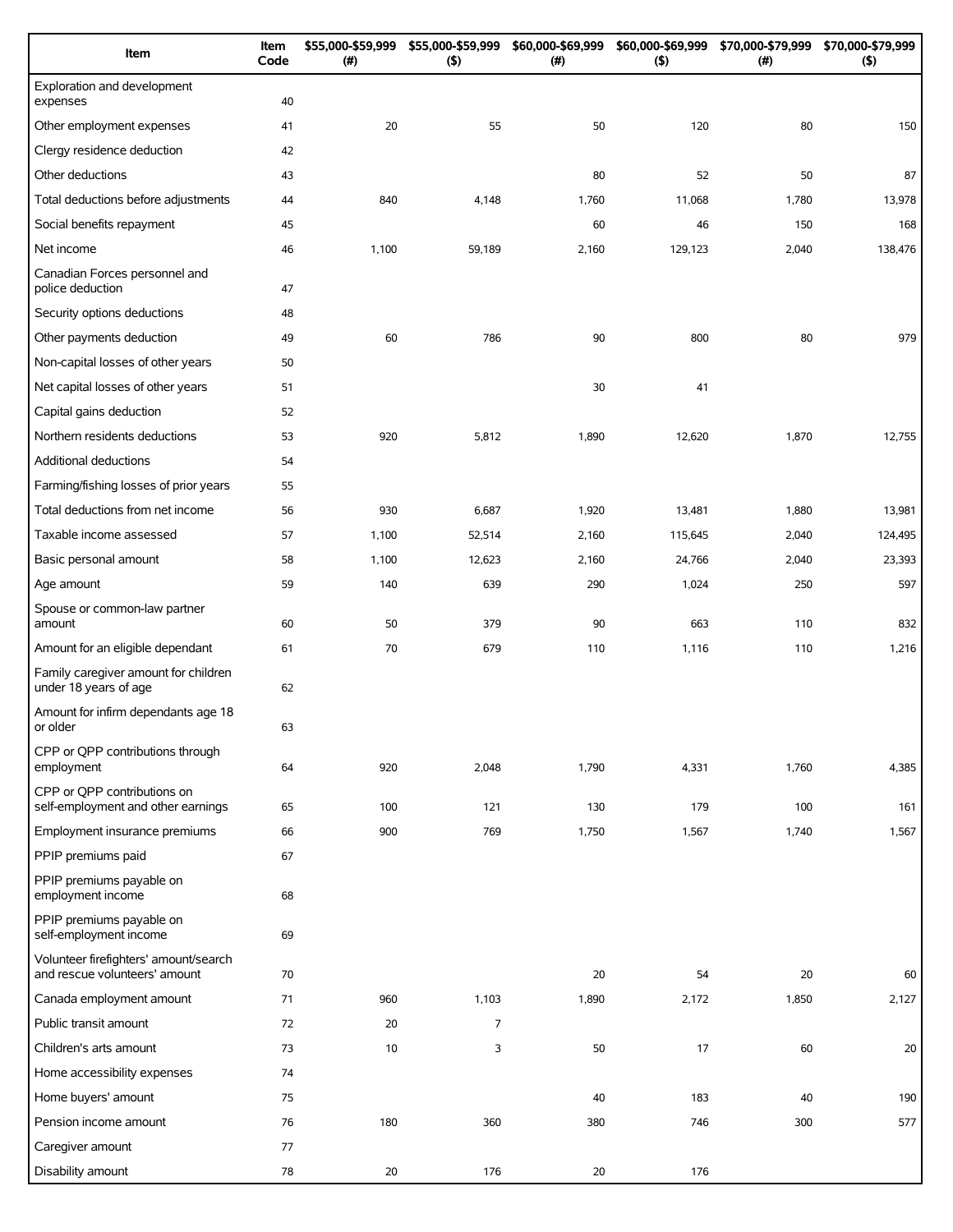| Item                                                                   | Item<br>Code | \$55,000-\$59,999<br>(#) | \$55,000-\$59,999<br>$($ \$) | \$60,000-\$69,999<br>(#) | \$60,000-\$69,999<br>(5) | \$70,000-\$79,999<br>$(\#)$ | \$70,000-\$79,999<br>(5) |
|------------------------------------------------------------------------|--------------|--------------------------|------------------------------|--------------------------|--------------------------|-----------------------------|--------------------------|
| Exploration and development<br>expenses                                | 40           |                          |                              |                          |                          |                             |                          |
| Other employment expenses                                              | 41           | 20                       | 55                           | 50                       | 120                      | 80                          | 150                      |
| Clergy residence deduction                                             | 42           |                          |                              |                          |                          |                             |                          |
| Other deductions                                                       | 43           |                          |                              | 80                       | 52                       | 50                          | 87                       |
| Total deductions before adjustments                                    | 44           | 840                      | 4,148                        | 1,760                    | 11,068                   | 1,780                       | 13,978                   |
| Social benefits repayment                                              | 45           |                          |                              | 60                       | 46                       | 150                         | 168                      |
| Net income                                                             | 46           | 1,100                    | 59,189                       | 2,160                    | 129,123                  | 2,040                       | 138,476                  |
| Canadian Forces personnel and<br>police deduction                      | 47           |                          |                              |                          |                          |                             |                          |
| Security options deductions                                            | 48           |                          |                              |                          |                          |                             |                          |
| Other payments deduction                                               | 49           | 60                       | 786                          | 90                       | 800                      | 80                          | 979                      |
| Non-capital losses of other years                                      | 50           |                          |                              |                          |                          |                             |                          |
| Net capital losses of other years                                      | 51           |                          |                              | 30                       | 41                       |                             |                          |
| Capital gains deduction                                                | 52           |                          |                              |                          |                          |                             |                          |
| Northern residents deductions                                          | 53           | 920                      | 5,812                        | 1,890                    | 12,620                   | 1,870                       | 12,755                   |
| Additional deductions                                                  | 54           |                          |                              |                          |                          |                             |                          |
| Farming/fishing losses of prior years                                  | 55           |                          |                              |                          |                          |                             |                          |
| Total deductions from net income                                       | 56           | 930                      | 6,687                        | 1,920                    | 13,481                   | 1,880                       | 13,981                   |
| Taxable income assessed                                                | 57           | 1,100                    | 52,514                       | 2,160                    | 115,645                  | 2,040                       | 124,495                  |
| Basic personal amount                                                  | 58           | 1,100                    | 12,623                       | 2,160                    | 24,766                   | 2,040                       | 23,393                   |
| Age amount                                                             | 59           | 140                      | 639                          | 290                      | 1,024                    | 250                         | 597                      |
| Spouse or common-law partner<br>amount                                 | 60           | 50                       | 379                          | 90                       | 663                      | 110                         | 832                      |
| Amount for an eligible dependant                                       | 61           | 70                       | 679                          | 110                      | 1,116                    | 110                         | 1,216                    |
| Family caregiver amount for children<br>under 18 years of age          | 62           |                          |                              |                          |                          |                             |                          |
| Amount for infirm dependants age 18<br>or older                        | 63           |                          |                              |                          |                          |                             |                          |
| CPP or QPP contributions through<br>employment                         | 64           | 920                      | 2,048                        | 1,790                    | 4,331                    | 1,760                       | 4,385                    |
| CPP or OPP contributions on<br>self-employment and other earnings      | 65           | 100                      | 121                          | 130                      | 179                      | 100                         | 161                      |
| Employment insurance premiums                                          | 66           | 900                      | 769                          | 1,750                    | 1,567                    | 1,740                       | 1,567                    |
| PPIP premiums paid                                                     | 67           |                          |                              |                          |                          |                             |                          |
| PPIP premiums payable on<br>employment income                          | 68           |                          |                              |                          |                          |                             |                          |
| PPIP premiums payable on<br>self-employment income                     | 69           |                          |                              |                          |                          |                             |                          |
| Volunteer firefighters' amount/search<br>and rescue volunteers' amount | 70           |                          |                              | 20                       | 54                       | 20                          | 60                       |
| Canada employment amount                                               | 71           | 960                      | 1,103                        | 1,890                    | 2,172                    | 1,850                       | 2,127                    |
| Public transit amount                                                  | 72           | 20                       | $\overline{7}$               |                          |                          |                             |                          |
| Children's arts amount                                                 | 73           | 10                       | 3                            | 50                       | 17                       | 60                          | 20                       |
| Home accessibility expenses                                            | 74           |                          |                              |                          |                          |                             |                          |
| Home buyers' amount                                                    | 75           |                          |                              | 40                       | 183                      | 40                          | 190                      |
| Pension income amount                                                  | 76           | 180                      | 360                          | 380                      | 746                      | 300                         | 577                      |
| Caregiver amount                                                       | 77           |                          |                              |                          |                          |                             |                          |
| Disability amount                                                      | 78           | 20                       | 176                          | 20                       | 176                      |                             |                          |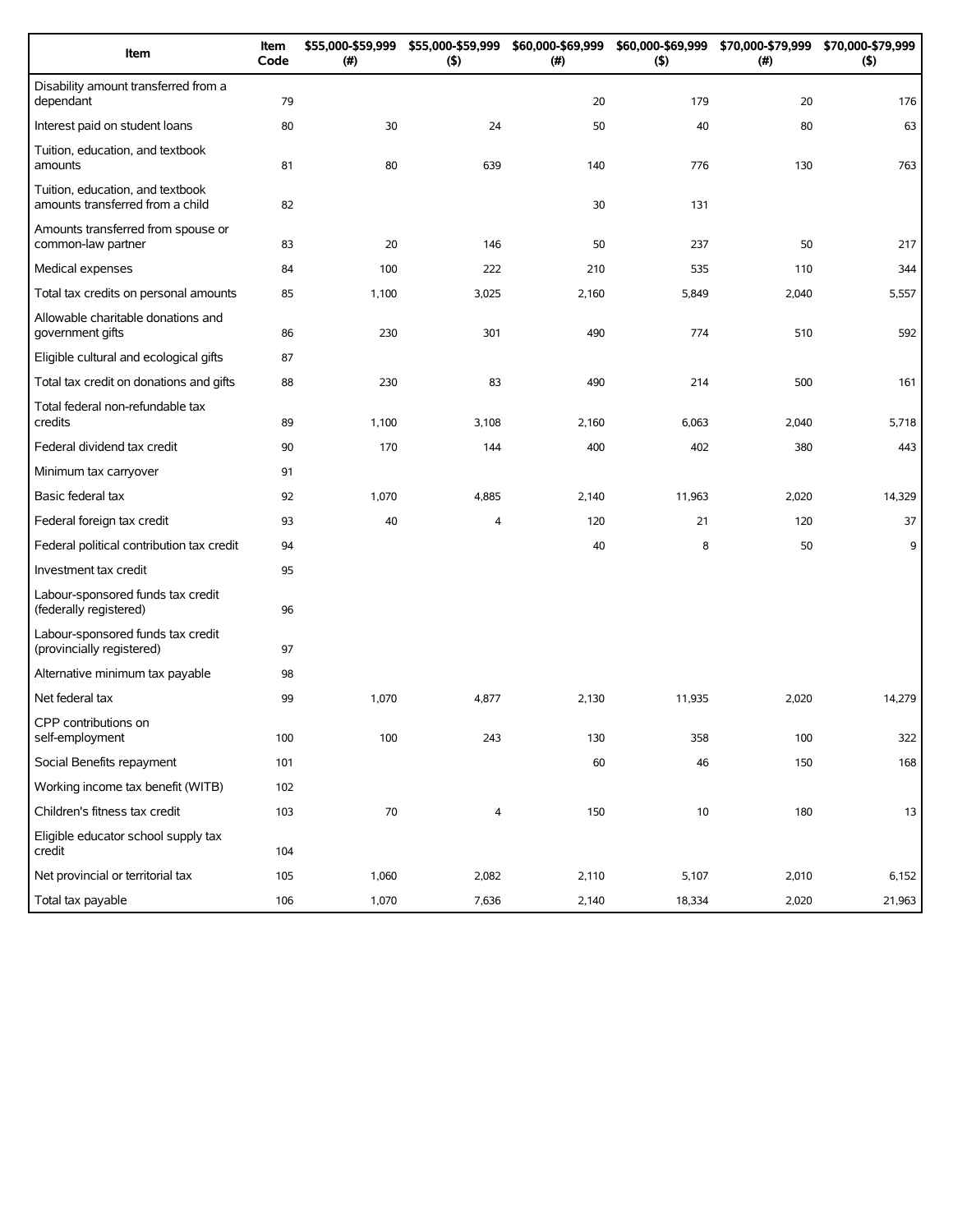| Item                                                                 | Item<br>Code | \$55,000-\$59,999<br>(#) | \$55,000-\$59,999<br>(5) | \$60,000-\$69,999<br>(# ) | (5)    | \$60,000-\$69,999 \$70,000-\$79,999<br>(#) | \$70,000-\$79,999<br>(5) |
|----------------------------------------------------------------------|--------------|--------------------------|--------------------------|---------------------------|--------|--------------------------------------------|--------------------------|
| Disability amount transferred from a<br>dependant                    | 79           |                          |                          | 20                        | 179    | 20                                         | 176                      |
| Interest paid on student loans                                       | 80           | 30                       | 24                       | 50                        | 40     | 80                                         | 63                       |
| Tuition, education, and textbook<br>amounts                          | 81           | 80                       | 639                      | 140                       | 776    | 130                                        | 763                      |
| Tuition, education, and textbook<br>amounts transferred from a child | 82           |                          |                          | 30                        | 131    |                                            |                          |
| Amounts transferred from spouse or<br>common-law partner             | 83           | 20                       | 146                      | 50                        | 237    | 50                                         | 217                      |
| Medical expenses                                                     | 84           | 100                      | 222                      | 210                       | 535    | 110                                        | 344                      |
| Total tax credits on personal amounts                                | 85           | 1,100                    | 3,025                    | 2,160                     | 5,849  | 2,040                                      | 5,557                    |
| Allowable charitable donations and<br>government gifts               | 86           | 230                      | 301                      | 490                       | 774    | 510                                        | 592                      |
| Eligible cultural and ecological gifts                               | 87           |                          |                          |                           |        |                                            |                          |
| Total tax credit on donations and gifts                              | 88           | 230                      | 83                       | 490                       | 214    | 500                                        | 161                      |
| Total federal non-refundable tax<br>credits                          | 89           | 1,100                    | 3,108                    | 2,160                     | 6,063  | 2,040                                      | 5,718                    |
| Federal dividend tax credit                                          | 90           | 170                      | 144                      | 400                       | 402    | 380                                        | 443                      |
| Minimum tax carryover                                                | 91           |                          |                          |                           |        |                                            |                          |
| Basic federal tax                                                    | 92           | 1,070                    | 4,885                    | 2,140                     | 11,963 | 2,020                                      | 14,329                   |
| Federal foreign tax credit                                           | 93           | 40                       | 4                        | 120                       | 21     | 120                                        | 37                       |
| Federal political contribution tax credit                            | 94           |                          |                          | 40                        | 8      | 50                                         | 9                        |
| Investment tax credit                                                | 95           |                          |                          |                           |        |                                            |                          |
| Labour-sponsored funds tax credit<br>(federally registered)          | 96           |                          |                          |                           |        |                                            |                          |
| Labour-sponsored funds tax credit<br>(provincially registered)       | 97           |                          |                          |                           |        |                                            |                          |
| Alternative minimum tax payable                                      | 98           |                          |                          |                           |        |                                            |                          |
| Net federal tax                                                      | 99           | 1,070                    | 4,877                    | 2,130                     | 11,935 | 2,020                                      | 14,279                   |
| CPP contributions on<br>self-employment                              | 100          | 100                      | 243                      | 130                       | 358    | 100                                        | 322                      |
| Social Benefits repayment                                            | 101          |                          |                          | 60                        | 46     | 150                                        | 168                      |
| Working income tax benefit (WITB)                                    | 102          |                          |                          |                           |        |                                            |                          |
| Children's fitness tax credit                                        | 103          | $70\,$                   | 4                        | 150                       | 10     | 180                                        | 13                       |
| Eligible educator school supply tax<br>credit                        | 104          |                          |                          |                           |        |                                            |                          |
| Net provincial or territorial tax                                    | 105          | 1,060                    | 2,082                    | 2,110                     | 5,107  | 2,010                                      | 6,152                    |
| Total tax payable                                                    | 106          | 1,070                    | 7,636                    | 2,140                     | 18,334 | 2,020                                      | 21,963                   |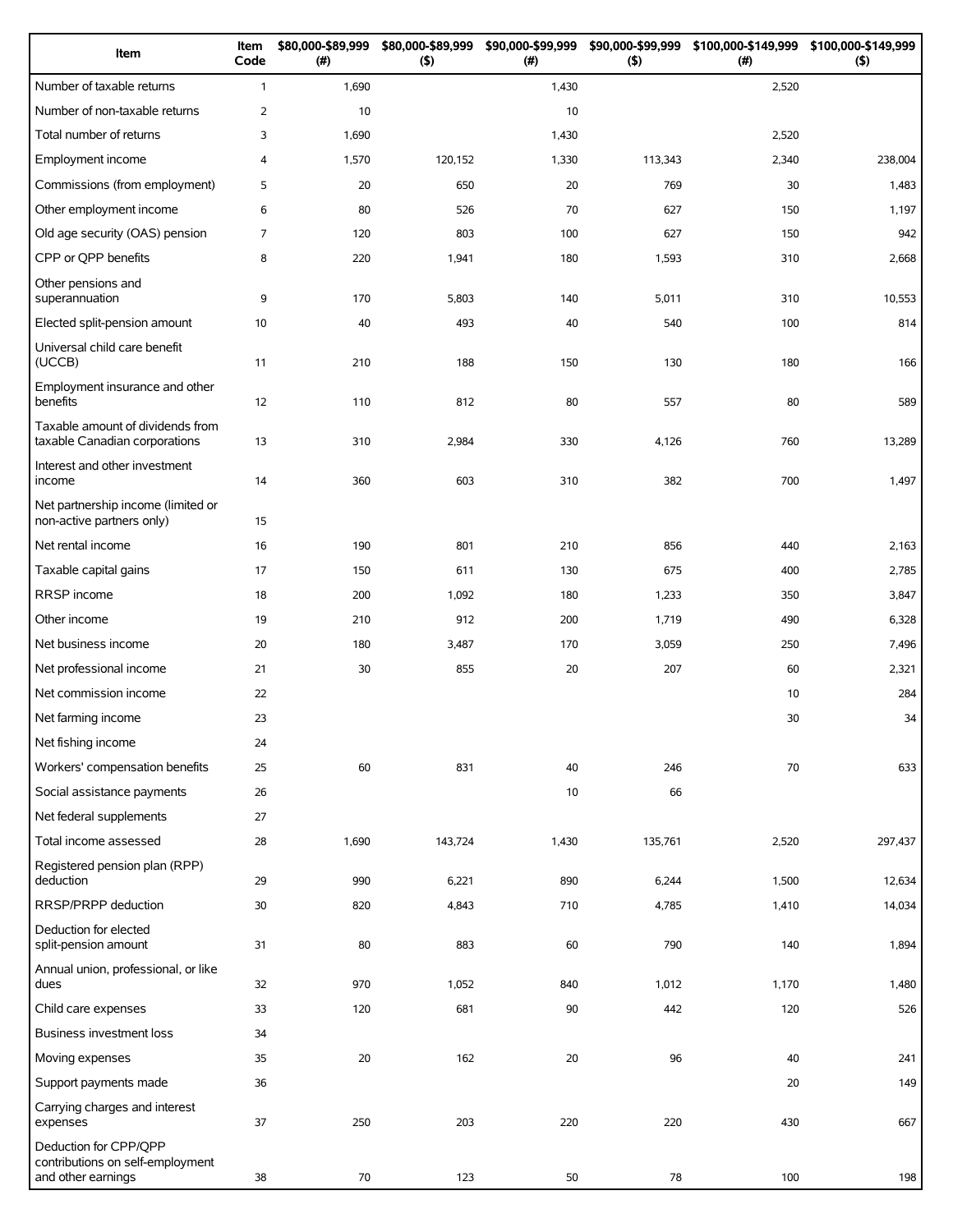| Item                                                                            | Item<br>Code | \$80,000-\$89,999<br>(#) | \$80,000-\$89,999<br>(5) | \$90,000-\$99,999<br>(#) | $($ \$) | \$90,000-\$99,999 \$100,000-\$149,999<br>(#) | \$100,000-\$149,999<br>$($ \$) |
|---------------------------------------------------------------------------------|--------------|--------------------------|--------------------------|--------------------------|---------|----------------------------------------------|--------------------------------|
| Number of taxable returns                                                       | $\mathbf{1}$ | 1,690                    |                          | 1,430                    |         | 2,520                                        |                                |
| Number of non-taxable returns                                                   | 2            | 10                       |                          | 10                       |         |                                              |                                |
| Total number of returns                                                         | 3            | 1,690                    |                          | 1,430                    |         | 2,520                                        |                                |
| Employment income                                                               | 4            | 1,570                    | 120,152                  | 1,330                    | 113,343 | 2,340                                        | 238,004                        |
| Commissions (from employment)                                                   | 5            | 20                       | 650                      | 20                       | 769     | 30                                           | 1,483                          |
| Other employment income                                                         | 6            | 80                       | 526                      | 70                       | 627     | 150                                          | 1,197                          |
| Old age security (OAS) pension                                                  | 7            | 120                      | 803                      | 100                      | 627     | 150                                          | 942                            |
| CPP or QPP benefits                                                             | 8            | 220                      | 1,941                    | 180                      | 1,593   | 310                                          | 2,668                          |
| Other pensions and<br>superannuation                                            | 9            | 170                      | 5,803                    | 140                      | 5,011   | 310                                          | 10,553                         |
| Elected split-pension amount                                                    | 10           | 40                       | 493                      | 40                       | 540     | 100                                          | 814                            |
| Universal child care benefit<br>(UCCB)                                          | 11           | 210                      | 188                      | 150                      | 130     | 180                                          | 166                            |
| Employment insurance and other<br>benefits                                      | 12           | 110                      | 812                      | 80                       | 557     | 80                                           | 589                            |
| Taxable amount of dividends from<br>taxable Canadian corporations               | 13           | 310                      | 2,984                    | 330                      | 4,126   | 760                                          | 13,289                         |
| Interest and other investment<br>income                                         | 14           | 360                      | 603                      | 310                      | 382     | 700                                          | 1,497                          |
| Net partnership income (limited or<br>non-active partners only)                 | 15           |                          |                          |                          |         |                                              |                                |
| Net rental income                                                               | 16           | 190                      | 801                      | 210                      | 856     | 440                                          | 2,163                          |
| Taxable capital gains                                                           | 17           | 150                      | 611                      | 130                      | 675     | 400                                          | 2,785                          |
| RRSP income                                                                     | 18           | 200                      | 1,092                    | 180                      | 1,233   | 350                                          | 3,847                          |
| Other income                                                                    | 19           | 210                      | 912                      | 200                      | 1,719   | 490                                          | 6,328                          |
| Net business income                                                             | 20           | 180                      | 3,487                    | 170                      | 3,059   | 250                                          | 7,496                          |
| Net professional income                                                         | 21           | 30                       | 855                      | 20                       | 207     | 60                                           | 2,321                          |
| Net commission income                                                           | 22           |                          |                          |                          |         | 10                                           | 284                            |
| Net farming income                                                              | 23           |                          |                          |                          |         | 30                                           | 34                             |
| Net fishing income                                                              | 24           |                          |                          |                          |         |                                              |                                |
| Workers' compensation benefits                                                  | 25           | 60                       | 831                      | 40                       | 246     | 70                                           | 633                            |
| Social assistance payments                                                      | 26           |                          |                          | 10                       | 66      |                                              |                                |
| Net federal supplements                                                         | 27           |                          |                          |                          |         |                                              |                                |
| Total income assessed                                                           | 28           | 1,690                    | 143,724                  | 1,430                    | 135,761 | 2,520                                        | 297,437                        |
| Registered pension plan (RPP)<br>deduction                                      | 29           | 990                      | 6,221                    | 890                      | 6,244   | 1,500                                        | 12,634                         |
| RRSP/PRPP deduction                                                             | 30           | 820                      | 4,843                    | 710                      | 4,785   | 1,410                                        | 14,034                         |
| Deduction for elected<br>split-pension amount                                   | 31           | 80                       | 883                      | 60                       | 790     | 140                                          | 1,894                          |
| Annual union, professional, or like<br>dues                                     | 32           | 970                      | 1,052                    | 840                      | 1,012   | 1,170                                        | 1,480                          |
| Child care expenses                                                             | 33           | 120                      | 681                      | 90                       | 442     | 120                                          | 526                            |
| <b>Business investment loss</b>                                                 | 34           |                          |                          |                          |         |                                              |                                |
| Moving expenses                                                                 | 35           | 20                       | 162                      | 20                       | 96      | 40                                           | 241                            |
| Support payments made                                                           | 36           |                          |                          |                          |         | 20                                           | 149                            |
| Carrying charges and interest<br>expenses                                       | 37           | 250                      | 203                      | 220                      | 220     | 430                                          | 667                            |
| Deduction for CPP/QPP<br>contributions on self-employment<br>and other earnings | 38           | 70                       | 123                      | 50                       | 78      | 100                                          | 198                            |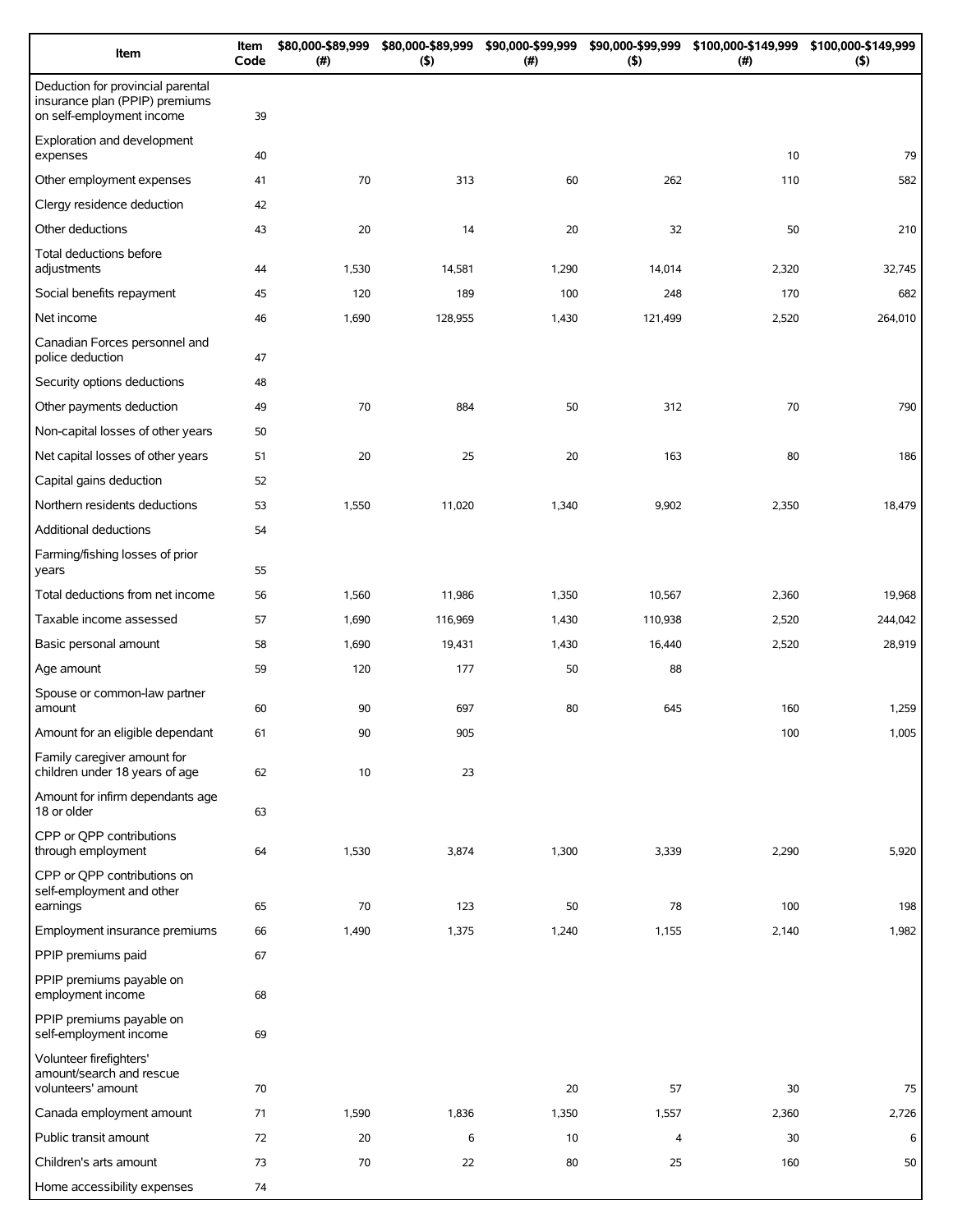| Item                                                                                             | Item<br>Code | \$80,000-\$89,999<br>(# ) | \$80,000-\$89,999<br>(5) | \$90,000-\$99,999<br>(# ) | \$90,000-\$99,999<br>(5) | \$100,000-\$149,999<br>(# ) | \$100,000-\$149,999<br>$($ \$) |
|--------------------------------------------------------------------------------------------------|--------------|---------------------------|--------------------------|---------------------------|--------------------------|-----------------------------|--------------------------------|
| Deduction for provincial parental<br>insurance plan (PPIP) premiums<br>on self-employment income | 39           |                           |                          |                           |                          |                             |                                |
| Exploration and development<br>expenses                                                          | 40           |                           |                          |                           |                          | 10                          | 79                             |
| Other employment expenses                                                                        | 41           | 70                        | 313                      | 60                        | 262                      | 110                         | 582                            |
| Clergy residence deduction                                                                       | 42           |                           |                          |                           |                          |                             |                                |
| Other deductions                                                                                 | 43           | 20                        | 14                       | 20                        | 32                       | 50                          | 210                            |
| Total deductions before<br>adjustments                                                           | 44           | 1,530                     | 14,581                   | 1,290                     | 14,014                   | 2,320                       | 32,745                         |
| Social benefits repayment                                                                        | 45           | 120                       | 189                      | 100                       | 248                      | 170                         | 682                            |
| Net income                                                                                       | 46           | 1,690                     | 128,955                  | 1,430                     | 121,499                  | 2,520                       | 264,010                        |
| Canadian Forces personnel and<br>police deduction                                                | 47           |                           |                          |                           |                          |                             |                                |
| Security options deductions                                                                      | 48           |                           |                          |                           |                          |                             |                                |
| Other payments deduction                                                                         | 49           | 70                        | 884                      | 50                        | 312                      | 70                          | 790                            |
| Non-capital losses of other years                                                                | 50           |                           |                          |                           |                          |                             |                                |
| Net capital losses of other years                                                                | 51           | 20                        | 25                       | 20                        | 163                      | 80                          | 186                            |
| Capital gains deduction                                                                          | 52           |                           |                          |                           |                          |                             |                                |
| Northern residents deductions                                                                    | 53           | 1,550                     | 11,020                   | 1,340                     | 9,902                    | 2,350                       | 18,479                         |
| Additional deductions                                                                            | 54           |                           |                          |                           |                          |                             |                                |
| Farming/fishing losses of prior<br>years                                                         | 55           |                           |                          |                           |                          |                             |                                |
| Total deductions from net income                                                                 | 56           | 1,560                     | 11,986                   | 1,350                     | 10,567                   | 2,360                       | 19,968                         |
| Taxable income assessed                                                                          | 57           | 1,690                     | 116,969                  | 1,430                     | 110,938                  | 2,520                       | 244,042                        |
| Basic personal amount                                                                            | 58           | 1,690                     | 19,431                   | 1,430                     | 16,440                   | 2,520                       | 28,919                         |
| Age amount                                                                                       | 59           | 120                       | 177                      | 50                        | 88                       |                             |                                |
| Spouse or common-law partner<br>amount                                                           | 60           | 90                        | 697                      | 80                        | 645                      | 160                         | 1,259                          |
| Amount for an eligible dependant                                                                 | 61           | 90                        | 905                      |                           |                          | 100                         | 1,005                          |
| Family caregiver amount for<br>children under 18 years of age                                    | 62           | 10                        | 23                       |                           |                          |                             |                                |
| Amount for infirm dependants age<br>18 or older                                                  | 63           |                           |                          |                           |                          |                             |                                |
| CPP or QPP contributions<br>through employment                                                   | 64           | 1,530                     | 3,874                    | 1,300                     | 3,339                    | 2,290                       | 5,920                          |
| CPP or QPP contributions on<br>self-employment and other<br>earnings                             | 65           | 70                        | 123                      | 50                        | 78                       | 100                         | 198                            |
| Employment insurance premiums                                                                    | 66           | 1,490                     | 1,375                    | 1,240                     | 1,155                    | 2,140                       | 1,982                          |
| PPIP premiums paid                                                                               | 67           |                           |                          |                           |                          |                             |                                |
| PPIP premiums payable on<br>employment income                                                    | 68           |                           |                          |                           |                          |                             |                                |
| PPIP premiums payable on<br>self-employment income                                               | 69           |                           |                          |                           |                          |                             |                                |
| Volunteer firefighters'<br>amount/search and rescue<br>volunteers' amount                        | 70           |                           |                          | 20                        | 57                       | 30                          | 75                             |
| Canada employment amount                                                                         | 71           | 1,590                     | 1,836                    | 1,350                     | 1,557                    | 2,360                       | 2,726                          |
| Public transit amount                                                                            | 72           | 20                        | 6                        | 10                        | 4                        | 30                          | 6                              |
| Children's arts amount                                                                           | 73           | 70                        | 22                       | 80                        | 25                       | 160                         | 50                             |
| Home accessibility expenses                                                                      | 74           |                           |                          |                           |                          |                             |                                |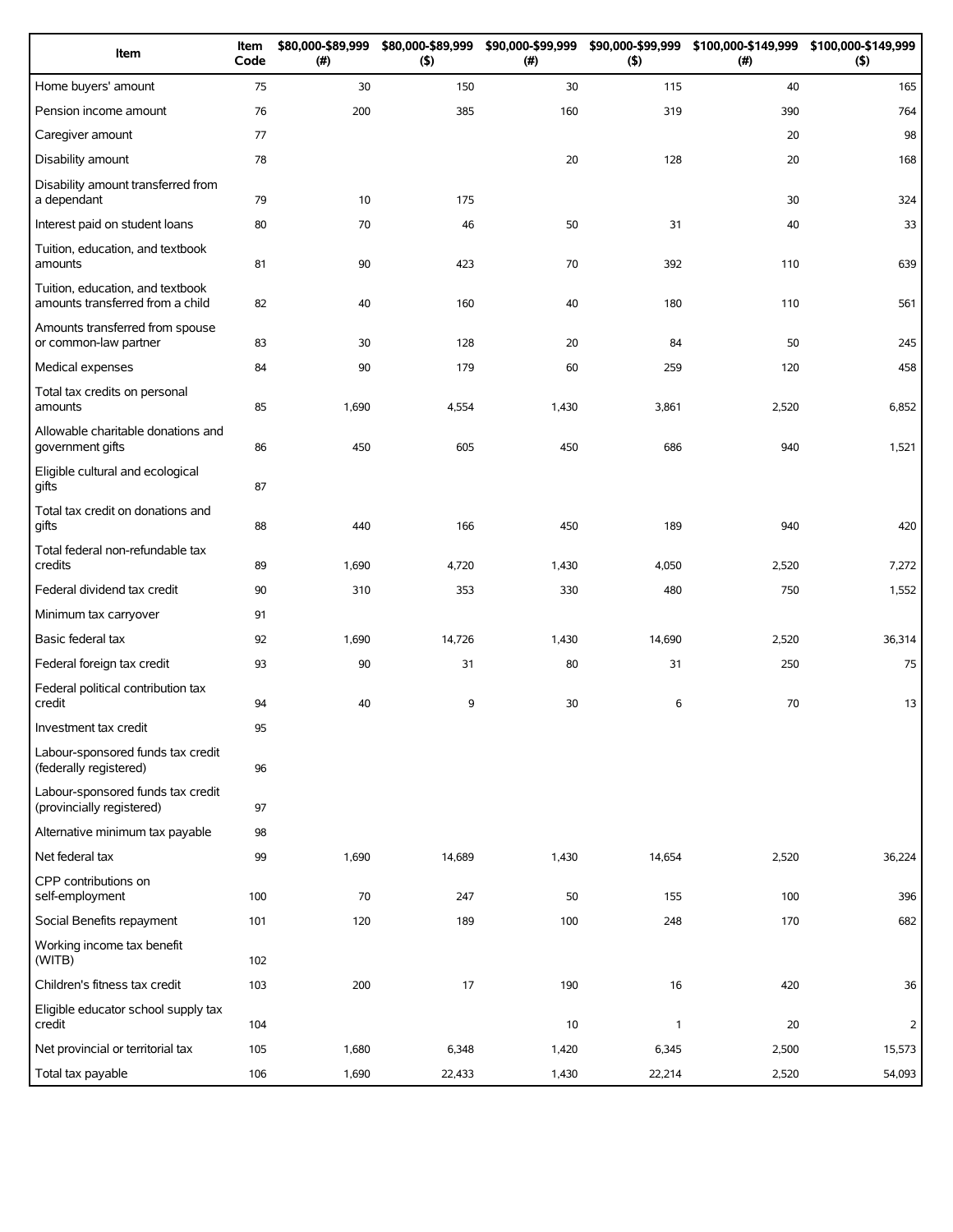| Item                                                                 | Item<br>Code | \$80,000-\$89,999<br>(#) | \$80,000-\$89,999<br>(5) | \$90,000-\$99,999<br>(# ) | \$90,000-\$99,999<br>(5) | \$100,000-\$149,999<br>(# ) | \$100,000-\$149,999<br>(5) |
|----------------------------------------------------------------------|--------------|--------------------------|--------------------------|---------------------------|--------------------------|-----------------------------|----------------------------|
| Home buyers' amount                                                  | 75           | 30                       | 150                      | 30                        | 115                      | 40                          | 165                        |
| Pension income amount                                                | 76           | 200                      | 385                      | 160                       | 319                      | 390                         | 764                        |
| Caregiver amount                                                     | 77           |                          |                          |                           |                          | 20                          | 98                         |
| Disability amount                                                    | 78           |                          |                          | 20                        | 128                      | 20                          | 168                        |
| Disability amount transferred from<br>a dependant                    | 79           | 10                       | 175                      |                           |                          | 30                          | 324                        |
| Interest paid on student loans                                       | 80           | 70                       | 46                       | 50                        | 31                       | 40                          | 33                         |
| Tuition, education, and textbook<br>amounts                          | 81           | 90                       | 423                      | 70                        | 392                      | 110                         | 639                        |
| Tuition, education, and textbook<br>amounts transferred from a child | 82           | 40                       | 160                      | 40                        | 180                      | 110                         | 561                        |
| Amounts transferred from spouse<br>or common-law partner             | 83           | 30                       | 128                      | 20                        | 84                       | 50                          | 245                        |
| Medical expenses                                                     | 84           | 90                       | 179                      | 60                        | 259                      | 120                         | 458                        |
| Total tax credits on personal<br>amounts                             | 85           | 1,690                    | 4,554                    | 1,430                     | 3,861                    | 2,520                       | 6,852                      |
| Allowable charitable donations and<br>government gifts               | 86           | 450                      | 605                      | 450                       | 686                      | 940                         | 1,521                      |
| Eligible cultural and ecological<br>gifts                            | 87           |                          |                          |                           |                          |                             |                            |
| Total tax credit on donations and<br>gifts                           | 88           | 440                      | 166                      | 450                       | 189                      | 940                         | 420                        |
| Total federal non-refundable tax<br>credits                          | 89           | 1,690                    | 4,720                    | 1,430                     | 4,050                    | 2,520                       | 7,272                      |
| Federal dividend tax credit                                          | 90           | 310                      | 353                      | 330                       | 480                      | 750                         | 1,552                      |
| Minimum tax carryover                                                | 91           |                          |                          |                           |                          |                             |                            |
| Basic federal tax                                                    | 92           | 1,690                    | 14,726                   | 1,430                     | 14,690                   | 2,520                       | 36,314                     |
| Federal foreign tax credit                                           | 93           | 90                       | 31                       | 80                        | 31                       | 250                         | 75                         |
| Federal political contribution tax<br>credit                         | 94           | 40                       | 9                        | 30                        | 6                        | 70                          | 13                         |
| Investment tax credit                                                | 95           |                          |                          |                           |                          |                             |                            |
| Labour-sponsored funds tax credit<br>(federally registered)          | 96           |                          |                          |                           |                          |                             |                            |
| Labour-sponsored funds tax credit<br>(provincially registered)       | 97           |                          |                          |                           |                          |                             |                            |
| Alternative minimum tax payable                                      | 98           |                          |                          |                           |                          |                             |                            |
| Net federal tax                                                      | 99           | 1,690                    | 14,689                   | 1,430                     | 14,654                   | 2,520                       | 36,224                     |
| CPP contributions on<br>self-employment                              | 100          | 70                       | 247                      | 50                        | 155                      | 100                         | 396                        |
| Social Benefits repayment                                            | 101          | 120                      | 189                      | 100                       | 248                      | 170                         | 682                        |
| Working income tax benefit<br>(WITB)                                 | 102          |                          |                          |                           |                          |                             |                            |
| Children's fitness tax credit                                        | 103          | 200                      | 17                       | 190                       | 16                       | 420                         | 36                         |
| Eligible educator school supply tax<br>credit                        | 104          |                          |                          | 10                        | $\mathbf{1}$             | 20                          | $\overline{2}$             |
| Net provincial or territorial tax                                    | 105          | 1,680                    | 6,348                    | 1,420                     | 6,345                    | 2,500                       | 15,573                     |
| Total tax payable                                                    | 106          | 1,690                    | 22,433                   | 1,430                     | 22,214                   | 2,520                       | 54,093                     |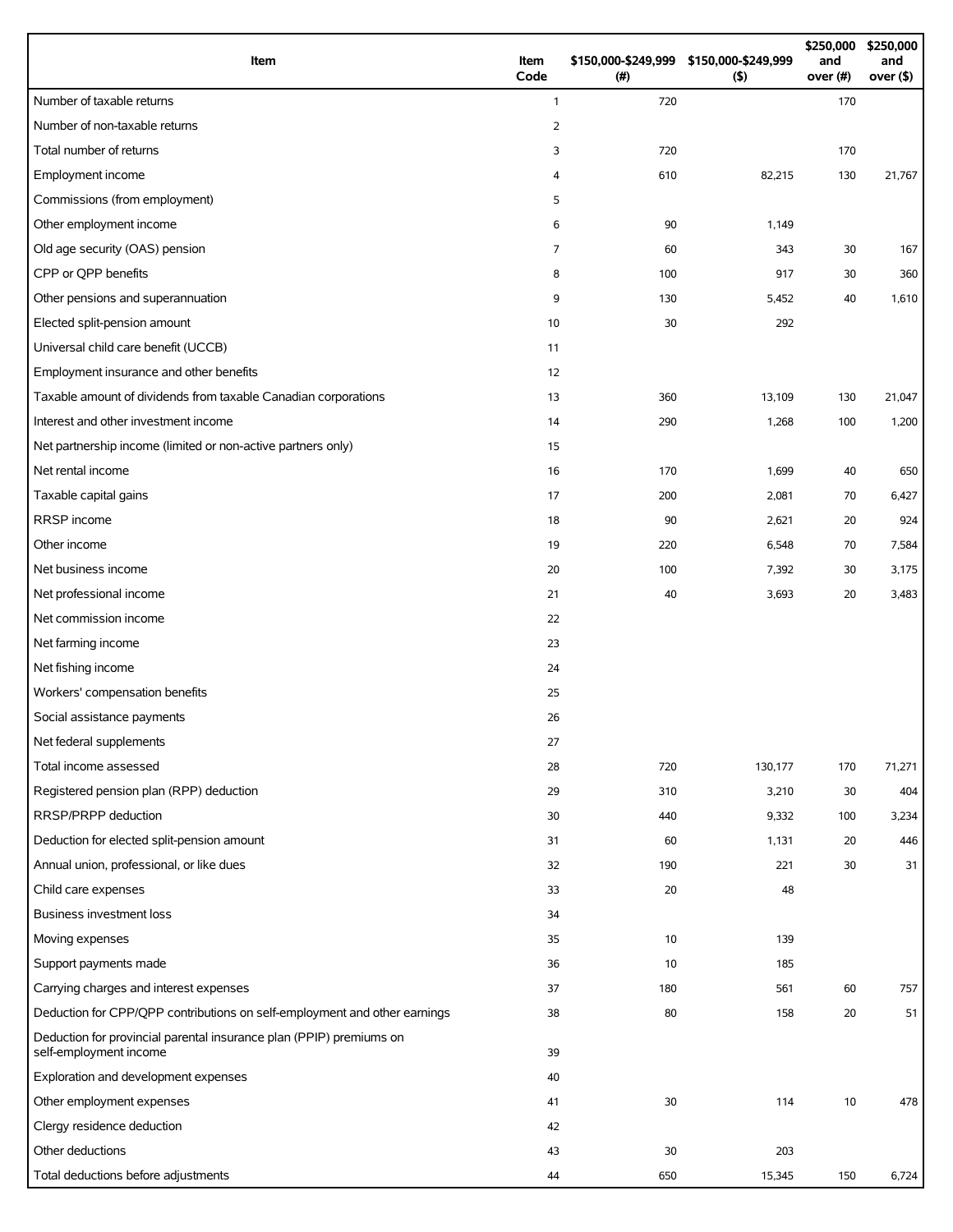| Item                                                                                          | Item<br>Code   | (#) | \$150,000-\$249,999 \$150,000-\$249,999<br>$($ \$) | \$250,000<br>and<br>over (#) | \$250,000<br>and<br>over $($ \$ $)$ |
|-----------------------------------------------------------------------------------------------|----------------|-----|----------------------------------------------------|------------------------------|-------------------------------------|
| Number of taxable returns                                                                     | $\mathbf{1}$   | 720 |                                                    | 170                          |                                     |
| Number of non-taxable returns                                                                 | $\overline{2}$ |     |                                                    |                              |                                     |
| Total number of returns                                                                       | 3              | 720 |                                                    | 170                          |                                     |
| Employment income                                                                             | 4              | 610 | 82,215                                             | 130                          | 21,767                              |
| Commissions (from employment)                                                                 | 5              |     |                                                    |                              |                                     |
| Other employment income                                                                       | 6              | 90  | 1,149                                              |                              |                                     |
| Old age security (OAS) pension                                                                | $\overline{7}$ | 60  | 343                                                | 30                           | 167                                 |
| CPP or QPP benefits                                                                           | 8              | 100 | 917                                                | 30                           | 360                                 |
| Other pensions and superannuation                                                             | 9              | 130 | 5,452                                              | 40                           | 1,610                               |
| Elected split-pension amount                                                                  | 10             | 30  | 292                                                |                              |                                     |
| Universal child care benefit (UCCB)                                                           | 11             |     |                                                    |                              |                                     |
| Employment insurance and other benefits                                                       | 12             |     |                                                    |                              |                                     |
| Taxable amount of dividends from taxable Canadian corporations                                | 13             | 360 | 13,109                                             | 130                          | 21,047                              |
| Interest and other investment income                                                          | 14             | 290 | 1,268                                              | 100                          | 1,200                               |
| Net partnership income (limited or non-active partners only)                                  | 15             |     |                                                    |                              |                                     |
| Net rental income                                                                             | 16             | 170 | 1,699                                              | 40                           | 650                                 |
| Taxable capital gains                                                                         | 17             | 200 | 2,081                                              | 70                           | 6,427                               |
| RRSP income                                                                                   | 18             | 90  | 2,621                                              | 20                           | 924                                 |
| Other income                                                                                  | 19             | 220 | 6,548                                              | 70                           | 7,584                               |
| Net business income                                                                           | 20             | 100 | 7,392                                              | 30                           | 3,175                               |
| Net professional income                                                                       | 21             | 40  | 3,693                                              | 20                           | 3,483                               |
| Net commission income                                                                         | 22             |     |                                                    |                              |                                     |
| Net farming income                                                                            | 23             |     |                                                    |                              |                                     |
| Net fishing income                                                                            | 24             |     |                                                    |                              |                                     |
| Workers' compensation benefits                                                                | 25             |     |                                                    |                              |                                     |
| Social assistance payments                                                                    | 26             |     |                                                    |                              |                                     |
| Net federal supplements                                                                       | 27             |     |                                                    |                              |                                     |
| Total income assessed                                                                         | 28             | 720 | 130,177                                            | 170                          | 71,271                              |
| Registered pension plan (RPP) deduction                                                       | 29             | 310 | 3,210                                              | 30                           | 404                                 |
| RRSP/PRPP deduction                                                                           | 30             | 440 | 9,332                                              | 100                          | 3,234                               |
| Deduction for elected split-pension amount                                                    | 31             | 60  | 1,131                                              | 20                           | 446                                 |
| Annual union, professional, or like dues                                                      | 32             | 190 | 221                                                | 30                           | 31                                  |
| Child care expenses                                                                           | 33             | 20  | 48                                                 |                              |                                     |
| Business investment loss                                                                      | 34             |     |                                                    |                              |                                     |
| Moving expenses                                                                               | 35             | 10  | 139                                                |                              |                                     |
| Support payments made                                                                         | 36             | 10  | 185                                                |                              |                                     |
| Carrying charges and interest expenses                                                        | 37             | 180 | 561                                                | 60                           | 757                                 |
| Deduction for CPP/QPP contributions on self-employment and other earnings                     | 38             | 80  | 158                                                | 20                           | 51                                  |
| Deduction for provincial parental insurance plan (PPIP) premiums on<br>self-employment income | 39             |     |                                                    |                              |                                     |
| Exploration and development expenses                                                          | 40             |     |                                                    |                              |                                     |
| Other employment expenses                                                                     | 41             | 30  | 114                                                | 10                           | 478                                 |
| Clergy residence deduction                                                                    | 42             |     |                                                    |                              |                                     |
| Other deductions                                                                              | 43             | 30  | 203                                                |                              |                                     |
| Total deductions before adjustments                                                           | 44             | 650 | 15,345                                             | 150                          | 6,724                               |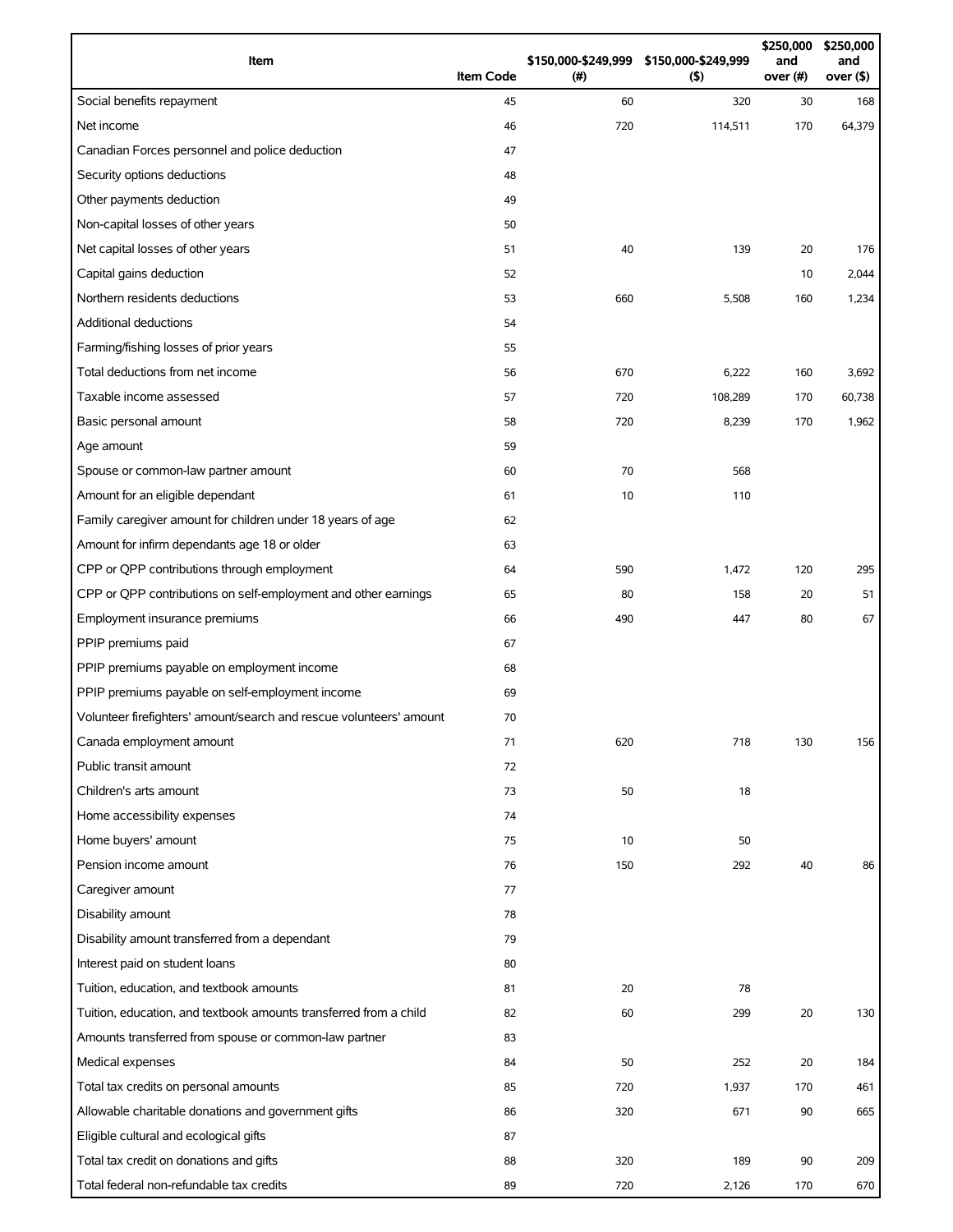| Item                                                                | <b>Item Code</b> | (#) | \$150,000-\$249,999 \$150,000-\$249,999<br>(5) | \$250,000<br>and<br>over (#) | \$250,000<br>and<br>over (\$) |
|---------------------------------------------------------------------|------------------|-----|------------------------------------------------|------------------------------|-------------------------------|
| Social benefits repayment                                           | 45               | 60  | 320                                            | 30                           | 168                           |
| Net income                                                          | 46               | 720 | 114,511                                        | 170                          | 64,379                        |
| Canadian Forces personnel and police deduction                      | 47               |     |                                                |                              |                               |
| Security options deductions                                         | 48               |     |                                                |                              |                               |
| Other payments deduction                                            | 49               |     |                                                |                              |                               |
| Non-capital losses of other years                                   | 50               |     |                                                |                              |                               |
| Net capital losses of other years                                   | 51               | 40  | 139                                            | 20                           | 176                           |
| Capital gains deduction                                             | 52               |     |                                                | 10                           | 2,044                         |
| Northern residents deductions                                       | 53               | 660 | 5,508                                          | 160                          | 1,234                         |
| <b>Additional deductions</b>                                        | 54               |     |                                                |                              |                               |
| Farming/fishing losses of prior years                               | 55               |     |                                                |                              |                               |
| Total deductions from net income                                    | 56               | 670 | 6,222                                          | 160                          | 3,692                         |
| Taxable income assessed                                             | 57               | 720 | 108,289                                        | 170                          | 60,738                        |
| Basic personal amount                                               | 58               | 720 | 8,239                                          | 170                          | 1,962                         |
| Age amount                                                          | 59               |     |                                                |                              |                               |
| Spouse or common-law partner amount                                 | 60               | 70  | 568                                            |                              |                               |
| Amount for an eligible dependant                                    | 61               | 10  | 110                                            |                              |                               |
| Family caregiver amount for children under 18 years of age          | 62               |     |                                                |                              |                               |
| Amount for infirm dependants age 18 or older                        | 63               |     |                                                |                              |                               |
| CPP or QPP contributions through employment                         | 64               | 590 | 1,472                                          | 120                          | 295                           |
| CPP or QPP contributions on self-employment and other earnings      | 65               | 80  | 158                                            | 20                           | 51                            |
| Employment insurance premiums                                       | 66               | 490 | 447                                            | 80                           | 67                            |
| PPIP premiums paid                                                  | 67               |     |                                                |                              |                               |
| PPIP premiums payable on employment income                          | 68               |     |                                                |                              |                               |
| PPIP premiums payable on self-employment income                     | 69               |     |                                                |                              |                               |
| Volunteer firefighters' amount/search and rescue volunteers' amount | 70               |     |                                                |                              |                               |
| Canada employment amount                                            | 71               | 620 | 718                                            | 130                          | 156                           |
| Public transit amount                                               | 72               |     |                                                |                              |                               |
| Children's arts amount                                              | 73               | 50  | 18                                             |                              |                               |
| Home accessibility expenses                                         | 74               |     |                                                |                              |                               |
| Home buyers' amount                                                 | 75               | 10  | 50                                             |                              |                               |
| Pension income amount                                               | 76               | 150 | 292                                            | 40                           | 86                            |
| Caregiver amount                                                    | 77               |     |                                                |                              |                               |
| Disability amount                                                   | 78               |     |                                                |                              |                               |
| Disability amount transferred from a dependant                      | 79               |     |                                                |                              |                               |
| Interest paid on student loans                                      | 80               |     |                                                |                              |                               |
| Tuition, education, and textbook amounts                            | 81               | 20  | 78                                             |                              |                               |
| Tuition, education, and textbook amounts transferred from a child   | 82               | 60  | 299                                            | 20                           | 130                           |
| Amounts transferred from spouse or common-law partner               | 83               |     |                                                |                              |                               |
| Medical expenses                                                    | 84               | 50  | 252                                            | 20                           | 184                           |
| Total tax credits on personal amounts                               | 85               | 720 | 1,937                                          | 170                          | 461                           |
| Allowable charitable donations and government gifts                 | 86               | 320 | 671                                            | 90                           | 665                           |
| Eligible cultural and ecological gifts                              | 87               |     |                                                |                              |                               |
| Total tax credit on donations and gifts                             | 88               | 320 | 189                                            | 90                           | 209                           |
| Total federal non-refundable tax credits                            | 89               | 720 | 2,126                                          | 170                          | 670                           |